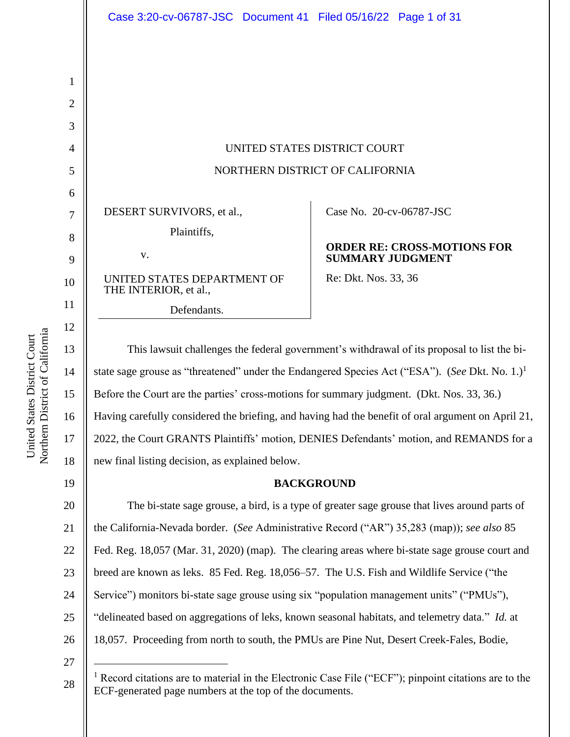UNITED STATES DISTRICT COURT NORTHERN DISTRICT OF CALIFORNIA

DESERT SURVIVORS, et al.,

v.

UNITED STATES DEPARTMENT OF THE INTERIOR, et al.,

Defendants.

Case No. 20-cv-06787-JSC

# **ORDER RE: CROSS-MOTIONS FOR SUMMARY JUDGMENT**

Re: Dkt. Nos. 33, 36

This lawsuit challenges the federal government's withdrawal of its proposal to list the bistate sage grouse as "threatened" under the Endangered Species Act ("ESA"). (*See* Dkt. No. 1.)<sup>1</sup> Before the Court are the parties' cross-motions for summary judgment. (Dkt. Nos. 33, 36.) Having carefully considered the briefing, and having had the benefit of oral argument on April 21, 2022, the Court GRANTS Plaintiffs' motion, DENIES Defendants' motion, and REMANDS for a new final listing decision, as explained below.

# **BACKGROUND**

20 21 22 23 24 25 26 The bi-state sage grouse, a bird, is a type of greater sage grouse that lives around parts of the California-Nevada border. (*See* Administrative Record ("AR") 35,283 (map)); *see also* 85 Fed. Reg. 18,057 (Mar. 31, 2020) (map). The clearing areas where bi-state sage grouse court and breed are known as leks. 85 Fed. Reg. 18,056–57. The U.S. Fish and Wildlife Service ("the Service") monitors bi-state sage grouse using six "population management units" ("PMUs"), "delineated based on aggregations of leks, known seasonal habitats, and telemetry data." *Id.* at 18,057. Proceeding from north to south, the PMUs are Pine Nut, Desert Creek-Fales, Bodie,

27

28

Northern District of California Northern District of California United States District Court United States District Court

1

2

3

4

5

6

7

8

9

10

11

12

13

14

15

16

17

18

<sup>&</sup>lt;sup>1</sup> Record citations are to material in the Electronic Case File ("ECF"); pinpoint citations are to the ECF-generated page numbers at the top of the documents.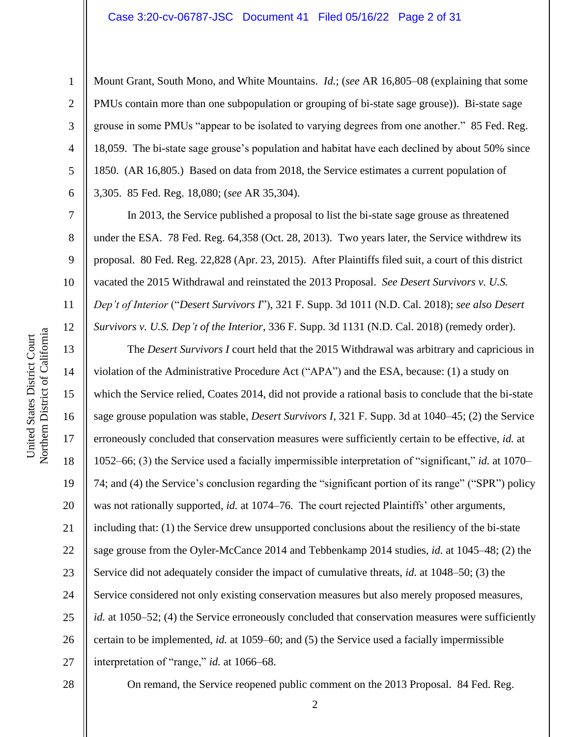#### Case 3:20-cv-06787-JSC Document 41 Filed 05/16/22 Page 2 of 31

6

7

8

9

10

11

12

13

14

15

17

18

19

21

23

25

1

Mount Grant, South Mono, and White Mountains. *Id.*; (*see* AR 16,805–08 (explaining that some PMUs contain more than one subpopulation or grouping of bi-state sage grouse)). Bi-state sage grouse in some PMUs "appear to be isolated to varying degrees from one another." 85 Fed. Reg. 18,059. The bi-state sage grouse's population and habitat have each declined by about 50% since 1850. (AR 16,805.) Based on data from 2018, the Service estimates a current population of 3,305. 85 Fed. Reg. 18,080; (*see* AR 35,304).

In 2013, the Service published a proposal to list the bi-state sage grouse as threatened under the ESA. 78 Fed. Reg. 64,358 (Oct. 28, 2013). Two years later, the Service withdrew its proposal. 80 Fed. Reg. 22,828 (Apr. 23, 2015). After Plaintiffs filed suit, a court of this district vacated the 2015 Withdrawal and reinstated the 2013 Proposal. *See Desert Survivors v. U.S. Dep't of Interior* ("*Desert Survivors I*"), 321 F. Supp. 3d 1011 (N.D. Cal. 2018); *see also Desert Survivors v. U.S. Dep't of the Interior*, 336 F. Supp. 3d 1131 (N.D. Cal. 2018) (remedy order).

16 20 22 24 26 27 The *Desert Survivors I* court held that the 2015 Withdrawal was arbitrary and capricious in violation of the Administrative Procedure Act ("APA") and the ESA, because: (1) a study on which the Service relied, Coates 2014, did not provide a rational basis to conclude that the bi-state sage grouse population was stable, *Desert Survivors I*, 321 F. Supp. 3d at 1040–45; (2) the Service erroneously concluded that conservation measures were sufficiently certain to be effective, *id.* at 1052–66; (3) the Service used a facially impermissible interpretation of "significant," *id.* at 1070– 74; and (4) the Service's conclusion regarding the "significant portion of its range" ("SPR") policy was not rationally supported, *id.* at 1074–76. The court rejected Plaintiffs' other arguments, including that: (1) the Service drew unsupported conclusions about the resiliency of the bi-state sage grouse from the Oyler-McCance 2014 and Tebbenkamp 2014 studies, *id.* at 1045–48; (2) the Service did not adequately consider the impact of cumulative threats, *id.* at 1048–50; (3) the Service considered not only existing conservation measures but also merely proposed measures, *id.* at 1050–52; (4) the Service erroneously concluded that conservation measures were sufficiently certain to be implemented, *id.* at 1059–60; and (5) the Service used a facially impermissible interpretation of "range," *id.* at 1066–68.

28

On remand, the Service reopened public comment on the 2013 Proposal. 84 Fed. Reg.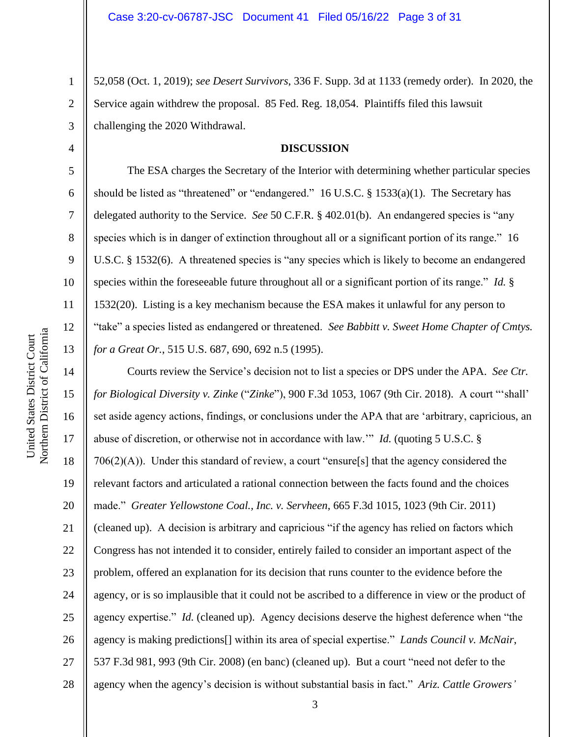52,058 (Oct. 1, 2019); *see Desert Survivors*, 336 F. Supp. 3d at 1133 (remedy order). In 2020, the Service again withdrew the proposal. 85 Fed. Reg. 18,054. Plaintiffs filed this lawsuit challenging the 2020 Withdrawal.

## **DISCUSSION**

The ESA charges the Secretary of the Interior with determining whether particular species should be listed as "threatened" or "endangered."  $16$  U.S.C. § 1533(a)(1). The Secretary has delegated authority to the Service. *See* 50 C.F.R. § 402.01(b). An endangered species is "any species which is in danger of extinction throughout all or a significant portion of its range." 16 U.S.C. § 1532(6). A threatened species is "any species which is likely to become an endangered species within the foreseeable future throughout all or a significant portion of its range." *Id.* § 1532(20). Listing is a key mechanism because the ESA makes it unlawful for any person to "take" a species listed as endangered or threatened. *See Babbitt v. Sweet Home Chapter of Cmtys. for a Great Or.*, 515 U.S. 687, 690, 692 n.5 (1995).

14 15 16 17 18 19 20 21 22 23 24 25 26 27 28 Courts review the Service's decision not to list a species or DPS under the APA. *See Ctr. for Biological Diversity v. Zinke* ("*Zinke*"), 900 F.3d 1053, 1067 (9th Cir. 2018). A court "'shall' set aside agency actions, findings, or conclusions under the APA that are 'arbitrary, capricious, an abuse of discretion, or otherwise not in accordance with law.'" *Id.* (quoting 5 U.S.C. § 706(2)(A)). Under this standard of review, a court "ensure[s] that the agency considered the relevant factors and articulated a rational connection between the facts found and the choices made." *Greater Yellowstone Coal., Inc. v. Servheen*, 665 F.3d 1015, 1023 (9th Cir. 2011) (cleaned up). A decision is arbitrary and capricious "if the agency has relied on factors which Congress has not intended it to consider, entirely failed to consider an important aspect of the problem, offered an explanation for its decision that runs counter to the evidence before the agency, or is so implausible that it could not be ascribed to a difference in view or the product of agency expertise." *Id.* (cleaned up). Agency decisions deserve the highest deference when "the agency is making predictions[] within its area of special expertise." *Lands Council v. McNair*, 537 F.3d 981, 993 (9th Cir. 2008) (en banc) (cleaned up). But a court "need not defer to the agency when the agency's decision is without substantial basis in fact." *Ariz. Cattle Growers'*

1

2

3

4

5

6

7

8

9

10

11

12

13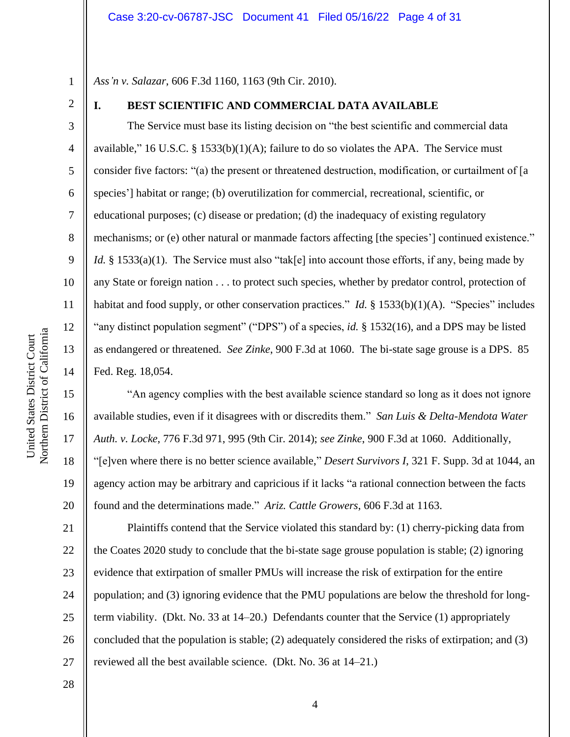1 *Ass'n v. Salazar*, 606 F.3d 1160, 1163 (9th Cir. 2010).

2

3

4

5

6

7

8

9

10

11

12

13

14

15

16

17

18

19

20

# **I. BEST SCIENTIFIC AND COMMERCIAL DATA AVAILABLE**

The Service must base its listing decision on "the best scientific and commercial data available," 16 U.S.C.  $\S$  1533(b)(1)(A); failure to do so violates the APA. The Service must consider five factors: "(a) the present or threatened destruction, modification, or curtailment of [a species'] habitat or range; (b) overutilization for commercial, recreational, scientific, or educational purposes; (c) disease or predation; (d) the inadequacy of existing regulatory mechanisms; or (e) other natural or manmade factors affecting [the species'] continued existence." *Id.* § 1533(a)(1). The Service must also "tak[e] into account those efforts, if any, being made by any State or foreign nation . . . to protect such species, whether by predator control, protection of habitat and food supply, or other conservation practices." *Id.* § 1533(b)(1)(A). "Species" includes "any distinct population segment" ("DPS") of a species, *id.* § 1532(16), and a DPS may be listed as endangered or threatened. *See Zinke*, 900 F.3d at 1060. The bi-state sage grouse is a DPS. 85 Fed. Reg. 18,054.

"An agency complies with the best available science standard so long as it does not ignore available studies, even if it disagrees with or discredits them." *San Luis & Delta-Mendota Water Auth. v. Locke*, 776 F.3d 971, 995 (9th Cir. 2014); *see Zinke*, 900 F.3d at 1060. Additionally, "[e]ven where there is no better science available," *Desert Survivors I*, 321 F. Supp. 3d at 1044, an agency action may be arbitrary and capricious if it lacks "a rational connection between the facts found and the determinations made." *Ariz. Cattle Growers*, 606 F.3d at 1163.

21 22 23 24 25 26 27 Plaintiffs contend that the Service violated this standard by: (1) cherry-picking data from the Coates 2020 study to conclude that the bi-state sage grouse population is stable; (2) ignoring evidence that extirpation of smaller PMUs will increase the risk of extirpation for the entire population; and (3) ignoring evidence that the PMU populations are below the threshold for longterm viability. (Dkt. No. 33 at 14–20.) Defendants counter that the Service (1) appropriately concluded that the population is stable; (2) adequately considered the risks of extirpation; and (3) reviewed all the best available science. (Dkt. No. 36 at 14–21.)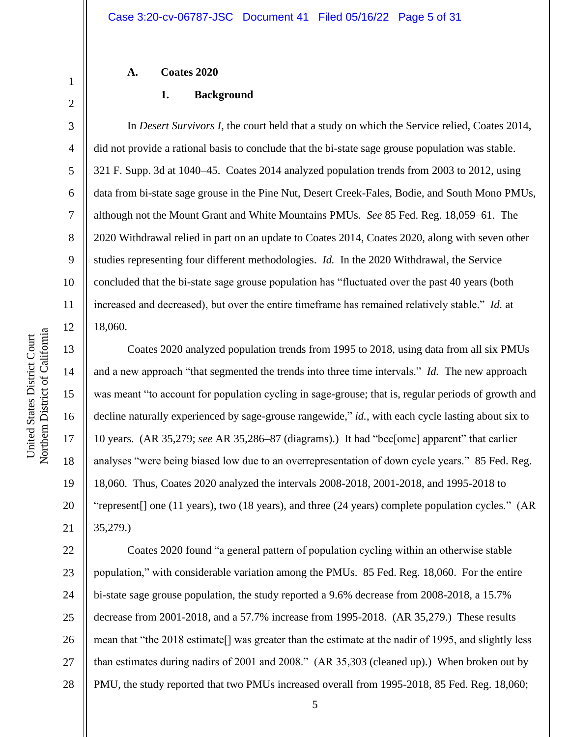# **A. Coates 2020**

## **1. Background**

In *Desert Survivors I*, the court held that a study on which the Service relied, Coates 2014, did not provide a rational basis to conclude that the bi-state sage grouse population was stable. 321 F. Supp. 3d at 1040–45. Coates 2014 analyzed population trends from 2003 to 2012, using data from bi-state sage grouse in the Pine Nut, Desert Creek-Fales, Bodie, and South Mono PMUs, although not the Mount Grant and White Mountains PMUs. *See* 85 Fed. Reg. 18,059–61. The 2020 Withdrawal relied in part on an update to Coates 2014, Coates 2020, along with seven other studies representing four different methodologies. *Id.* In the 2020 Withdrawal, the Service concluded that the bi-state sage grouse population has "fluctuated over the past 40 years (both increased and decreased), but over the entire timeframe has remained relatively stable." *Id.* at 18,060.

Coates 2020 analyzed population trends from 1995 to 2018, using data from all six PMUs and a new approach "that segmented the trends into three time intervals." *Id.* The new approach was meant "to account for population cycling in sage-grouse; that is, regular periods of growth and decline naturally experienced by sage-grouse rangewide," *id.*, with each cycle lasting about six to 10 years. (AR 35,279; *see* AR 35,286–87 (diagrams).) It had "bec[ome] apparent" that earlier analyses "were being biased low due to an overrepresentation of down cycle years." 85 Fed. Reg. 18,060. Thus, Coates 2020 analyzed the intervals 2008-2018, 2001-2018, and 1995-2018 to "represent[] one (11 years), two (18 years), and three (24 years) complete population cycles." (AR 35,279.)

22 23 24 25 26 27 28 Coates 2020 found "a general pattern of population cycling within an otherwise stable population," with considerable variation among the PMUs. 85 Fed. Reg. 18,060. For the entire bi-state sage grouse population, the study reported a 9.6% decrease from 2008-2018, a 15.7% decrease from 2001-2018, and a 57.7% increase from 1995-2018. (AR 35,279.) These results mean that "the 2018 estimate[] was greater than the estimate at the nadir of 1995, and slightly less than estimates during nadirs of 2001 and 2008." (AR 35,303 (cleaned up).) When broken out by PMU, the study reported that two PMUs increased overall from 1995-2018, 85 Fed. Reg. 18,060;

1

2

3

4

5

6

7

8

9

10

11

12

13

14

15

16

17

18

19

20

21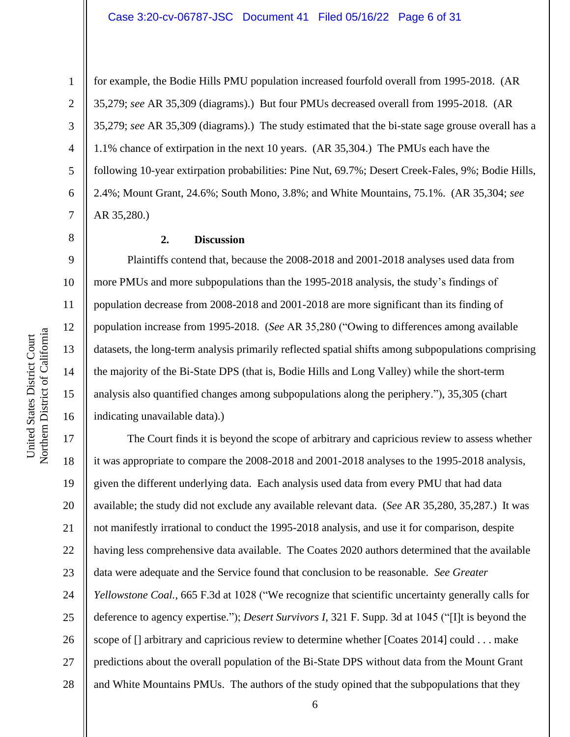#### Case 3:20-cv-06787-JSC Document 41 Filed 05/16/22 Page 6 of 31

2 3

4

5

6

7

8

9

10

11

12

13

14

15

16

1

for example, the Bodie Hills PMU population increased fourfold overall from 1995-2018. (AR 35,279; *see* AR 35,309 (diagrams).) But four PMUs decreased overall from 1995-2018. (AR 35,279; *see* AR 35,309 (diagrams).) The study estimated that the bi-state sage grouse overall has a 1.1% chance of extirpation in the next 10 years. (AR 35,304.) The PMUs each have the following 10-year extirpation probabilities: Pine Nut, 69.7%; Desert Creek-Fales, 9%; Bodie Hills, 2.4%; Mount Grant, 24.6%; South Mono, 3.8%; and White Mountains, 75.1%. (AR 35,304; *see* AR 35,280.)

## **2. Discussion**

Plaintiffs contend that, because the 2008-2018 and 2001-2018 analyses used data from more PMUs and more subpopulations than the 1995-2018 analysis, the study's findings of population decrease from 2008-2018 and 2001-2018 are more significant than its finding of population increase from 1995-2018. (*See* AR 35,280 ("Owing to differences among available datasets, the long-term analysis primarily reflected spatial shifts among subpopulations comprising the majority of the Bi-State DPS (that is, Bodie Hills and Long Valley) while the short-term analysis also quantified changes among subpopulations along the periphery."), 35,305 (chart indicating unavailable data).)

17 18 19 20 21 22 23 24 25 26 27 28 The Court finds it is beyond the scope of arbitrary and capricious review to assess whether it was appropriate to compare the 2008-2018 and 2001-2018 analyses to the 1995-2018 analysis, given the different underlying data. Each analysis used data from every PMU that had data available; the study did not exclude any available relevant data. (*See* AR 35,280, 35,287.) It was not manifestly irrational to conduct the 1995-2018 analysis, and use it for comparison, despite having less comprehensive data available. The Coates 2020 authors determined that the available data were adequate and the Service found that conclusion to be reasonable. *See Greater Yellowstone Coal.*, 665 F.3d at 1028 ("We recognize that scientific uncertainty generally calls for deference to agency expertise."); *Desert Survivors I*, 321 F. Supp. 3d at 1045 ("[I]t is beyond the scope of [] arbitrary and capricious review to determine whether [Coates 2014] could . . . make predictions about the overall population of the Bi-State DPS without data from the Mount Grant and White Mountains PMUs. The authors of the study opined that the subpopulations that they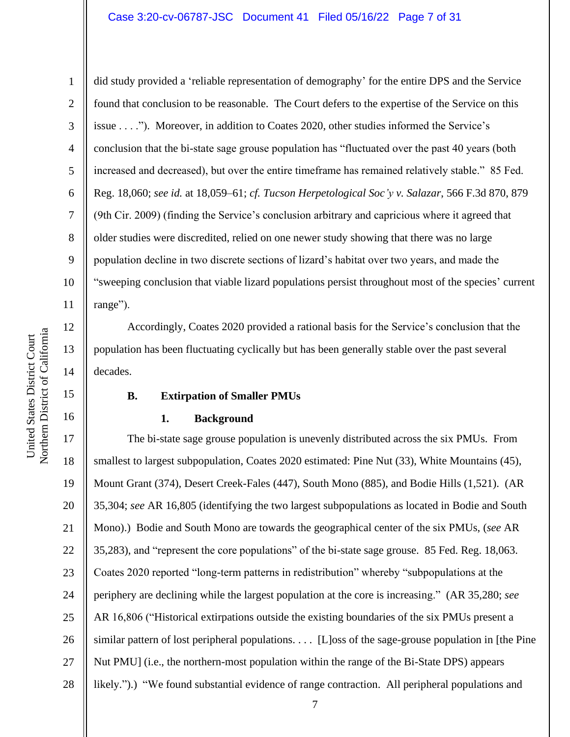### Case 3:20-cv-06787-JSC Document 41 Filed 05/16/22 Page 7 of 31

United States District Court

United States District Court

1 2 3 4 5 6 7 8 9 did study provided a 'reliable representation of demography' for the entire DPS and the Service found that conclusion to be reasonable. The Court defers to the expertise of the Service on this issue . . . ."). Moreover, in addition to Coates 2020, other studies informed the Service's conclusion that the bi-state sage grouse population has "fluctuated over the past 40 years (both increased and decreased), but over the entire timeframe has remained relatively stable." 85 Fed. Reg. 18,060; *see id.* at 18,059–61; *cf. Tucson Herpetological Soc'y v. Salazar*, 566 F.3d 870, 879 (9th Cir. 2009) (finding the Service's conclusion arbitrary and capricious where it agreed that older studies were discredited, relied on one newer study showing that there was no large population decline in two discrete sections of lizard's habitat over two years, and made the "sweeping conclusion that viable lizard populations persist throughout most of the species' current range").

Accordingly, Coates 2020 provided a rational basis for the Service's conclusion that the population has been fluctuating cyclically but has been generally stable over the past several decades.

### **B. Extirpation of Smaller PMUs**

### **1. Background**

17 18 19 20 21 22 23 24 25 26 27 28 The bi-state sage grouse population is unevenly distributed across the six PMUs. From smallest to largest subpopulation, Coates 2020 estimated: Pine Nut (33), White Mountains (45), Mount Grant (374), Desert Creek-Fales (447), South Mono (885), and Bodie Hills (1,521). (AR 35,304; *see* AR 16,805 (identifying the two largest subpopulations as located in Bodie and South Mono).) Bodie and South Mono are towards the geographical center of the six PMUs, (*see* AR 35,283), and "represent the core populations" of the bi-state sage grouse. 85 Fed. Reg. 18,063. Coates 2020 reported "long-term patterns in redistribution" whereby "subpopulations at the periphery are declining while the largest population at the core is increasing." (AR 35,280; *see* AR 16,806 ("Historical extirpations outside the existing boundaries of the six PMUs present a similar pattern of lost peripheral populations. . . . [L]oss of the sage-grouse population in [the Pine Nut PMU] (i.e., the northern-most population within the range of the Bi-State DPS) appears likely.").) "We found substantial evidence of range contraction. All peripheral populations and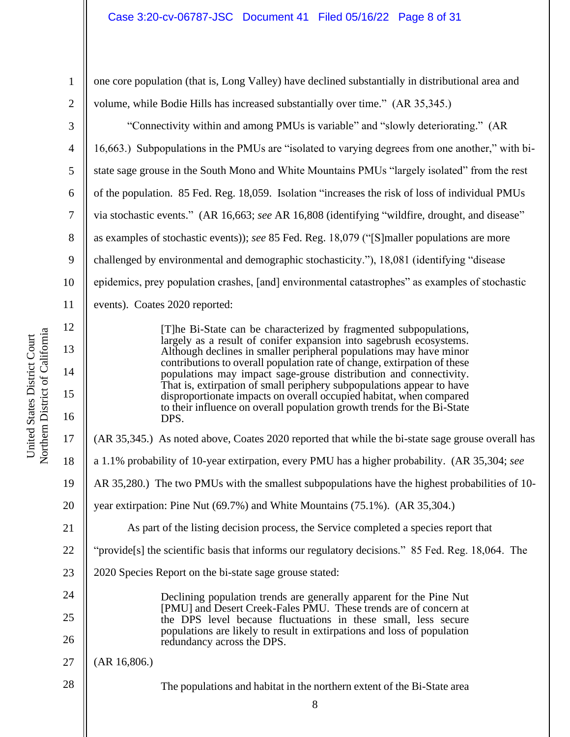one core population (that is, Long Valley) have declined substantially in distributional area and volume, while Bodie Hills has increased substantially over time." (AR 35,345.)

"Connectivity within and among PMUs is variable" and "slowly deteriorating." (AR 16,663.) Subpopulations in the PMUs are "isolated to varying degrees from one another," with bistate sage grouse in the South Mono and White Mountains PMUs "largely isolated" from the rest of the population. 85 Fed. Reg. 18,059. Isolation "increases the risk of loss of individual PMUs via stochastic events." (AR 16,663; *see* AR 16,808 (identifying "wildfire, drought, and disease" as examples of stochastic events)); *see* 85 Fed. Reg. 18,079 ("[S]maller populations are more challenged by environmental and demographic stochasticity."), 18,081 (identifying "disease epidemics, prey population crashes, [and] environmental catastrophes" as examples of stochastic events). Coates 2020 reported:

> [T]he Bi-State can be characterized by fragmented subpopulations, largely as a result of conifer expansion into sagebrush ecosystems. Although declines in smaller peripheral populations may have minor contributions to overall population rate of change, extirpation of these populations may impact sage-grouse distribution and connectivity. That is, extirpation of small periphery subpopulations appear to have disproportionate impacts on overall occupied habitat, when compared to their influence on overall population growth trends for the Bi-State DPS.

17 (AR 35,345.) As noted above, Coates 2020 reported that while the bi-state sage grouse overall has

- 18 a 1.1% probability of 10-year extirpation, every PMU has a higher probability. (AR 35,304; *see*
- 19 AR 35,280.) The two PMUs with the smallest subpopulations have the highest probabilities of 10-
- 20 year extirpation: Pine Nut (69.7%) and White Mountains (75.1%). (AR 35,304.)
	- As part of the listing decision process, the Service completed a species report that
- 22 "provide[s] the scientific basis that informs our regulatory decisions." 85 Fed. Reg. 18,064. The
- 23 2020 Species Report on the bi-state sage grouse stated:

Declining population trends are generally apparent for the Pine Nut [PMU] and Desert Creek-Fales PMU. These trends are of concern at the DPS level because fluctuations in these small, less secure populations are likely to result in extirpations and loss of population redundancy across the DPS.

27 (AR 16,806.)

The populations and habitat in the northern extent of the Bi-State area

1

2

3

4

5

6

7

8

9

10

11

12

13

14

15

16

21

24

25

26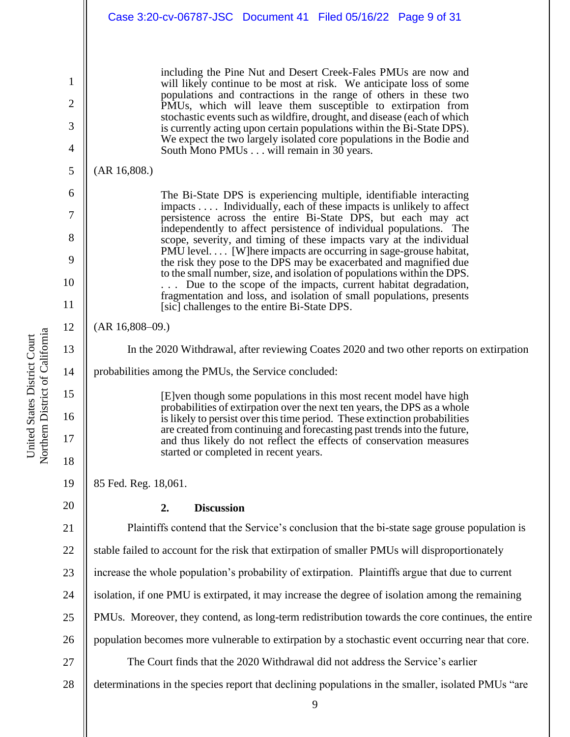|          | Case 3:20-cv-06787-JSC Document 41 Filed 05/16/22 Page 9 of 31                                                                                                                                            |
|----------|-----------------------------------------------------------------------------------------------------------------------------------------------------------------------------------------------------------|
| 1        | including the Pine Nut and Desert Creek-Fales PMUs are now and<br>will likely continue to be most at risk. We anticipate loss of some<br>populations and contractions in the range of others in these two |
| 2        | PMUs, which will leave them susceptible to extirpation from<br>stochastic events such as wildfire, drought, and disease (each of which                                                                    |
| 3<br>4   | is currently acting upon certain populations within the Bi-State DPS).<br>We expect the two largely isolated core populations in the Bodie and<br>South Mono PMUs will remain in 30 years.                |
| 5        | (AR 16,808.)                                                                                                                                                                                              |
| 6        | The Bi-State DPS is experiencing multiple, identifiable interacting                                                                                                                                       |
| 7        | impacts Individually, each of these impacts is unlikely to affect<br>persistence across the entire Bi-State DPS, but each may act<br>independently to affect persistence of individual populations. The   |
| 8        | scope, severity, and timing of these impacts vary at the individual<br>PMU level [W]here impacts are occurring in sage-grouse habitat,                                                                    |
| 9        | the risk they pose to the DPS may be exacerbated and magnified due<br>to the small number, size, and isolation of populations within the DPS.                                                             |
| 10<br>11 | Due to the scope of the impacts, current habitat degradation,<br>fragmentation and loss, and isolation of small populations, presents<br>[sic] challenges to the entire Bi-State DPS.                     |
| 12       | $(AR 16,808-09.)$                                                                                                                                                                                         |
| 13       | In the 2020 Withdrawal, after reviewing Coates 2020 and two other reports on extirpation                                                                                                                  |
| 14       | probabilities among the PMUs, the Service concluded:                                                                                                                                                      |
| 15       | [E] ven though some populations in this most recent model have high<br>probabilities of extirpation over the next ten years, the DPS as a whole                                                           |
| 16       | is likely to persist over this time period. These extinction probabilities<br>are created from continuing and forecasting past trends into the future,                                                    |
| 17       | and thus likely do not reflect the effects of conservation measures<br>started or completed in recent years.                                                                                              |
| 18       |                                                                                                                                                                                                           |
| 19<br>20 | 85 Fed. Reg. 18,061.                                                                                                                                                                                      |
|          | <b>Discussion</b><br>2.<br>Plaintiffs contend that the Service's conclusion that the bi-state sage grouse population is                                                                                   |
| 21       | stable failed to account for the risk that extirpation of smaller PMUs will disproportionately                                                                                                            |
| 22       |                                                                                                                                                                                                           |
| 23       | increase the whole population's probability of extirpation. Plaintiffs argue that due to current                                                                                                          |
| 24       | isolation, if one PMU is extirpated, it may increase the degree of isolation among the remaining                                                                                                          |
| 25       | PMUs. Moreover, they contend, as long-term redistribution towards the core continues, the entire                                                                                                          |
| 26       | population becomes more vulnerable to extirpation by a stochastic event occurring near that core.                                                                                                         |
| 27       | The Court finds that the 2020 Withdrawal did not address the Service's earlier                                                                                                                            |
| 28       | determinations in the species report that declining populations in the smaller, isolated PMUs "are                                                                                                        |

United States District Court<br>Northern District of California Northern District of California United States District Court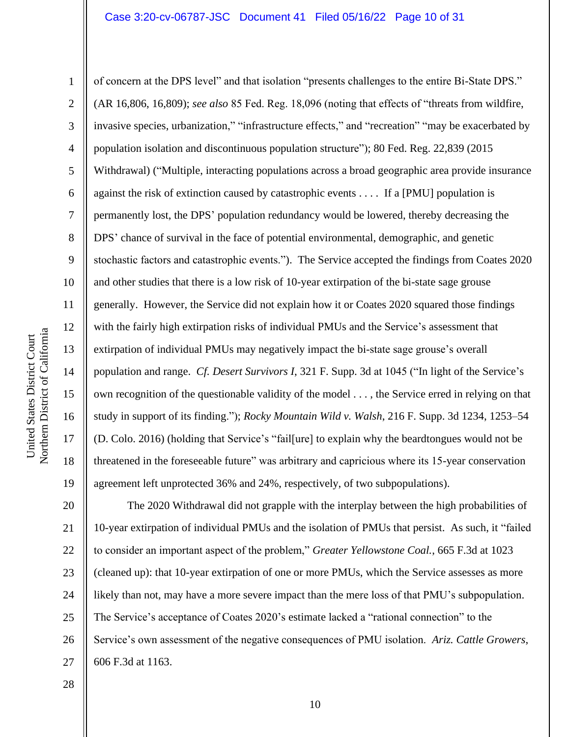Northern District of California Northern District of California United States District Court United States District Court

1 2 3 4 5 6 7 8 9 10 11 12 13 14 15 16 17 18 19 of concern at the DPS level" and that isolation "presents challenges to the entire Bi-State DPS." (AR 16,806, 16,809); *see also* 85 Fed. Reg. 18,096 (noting that effects of "threats from wildfire, invasive species, urbanization," "infrastructure effects," and "recreation" "may be exacerbated by population isolation and discontinuous population structure"); 80 Fed. Reg. 22,839 (2015 Withdrawal) ("Multiple, interacting populations across a broad geographic area provide insurance against the risk of extinction caused by catastrophic events . . . . If a [PMU] population is permanently lost, the DPS' population redundancy would be lowered, thereby decreasing the DPS' chance of survival in the face of potential environmental, demographic, and genetic stochastic factors and catastrophic events."). The Service accepted the findings from Coates 2020 and other studies that there is a low risk of 10-year extirpation of the bi-state sage grouse generally. However, the Service did not explain how it or Coates 2020 squared those findings with the fairly high extirpation risks of individual PMUs and the Service's assessment that extirpation of individual PMUs may negatively impact the bi-state sage grouse's overall population and range. *Cf. Desert Survivors I*, 321 F. Supp. 3d at 1045 ("In light of the Service's own recognition of the questionable validity of the model . . . , the Service erred in relying on that study in support of its finding."); *Rocky Mountain Wild v. Walsh*, 216 F. Supp. 3d 1234, 1253–54 (D. Colo. 2016) (holding that Service's "fail[ure] to explain why the beardtongues would not be threatened in the foreseeable future" was arbitrary and capricious where its 15-year conservation agreement left unprotected 36% and 24%, respectively, of two subpopulations).

20 21 22 23 24 25 26 27 The 2020 Withdrawal did not grapple with the interplay between the high probabilities of 10-year extirpation of individual PMUs and the isolation of PMUs that persist. As such, it "failed to consider an important aspect of the problem," *Greater Yellowstone Coal.*, 665 F.3d at 1023 (cleaned up): that 10-year extirpation of one or more PMUs, which the Service assesses as more likely than not, may have a more severe impact than the mere loss of that PMU's subpopulation. The Service's acceptance of Coates 2020's estimate lacked a "rational connection" to the Service's own assessment of the negative consequences of PMU isolation. *Ariz. Cattle Growers*, 606 F.3d at 1163.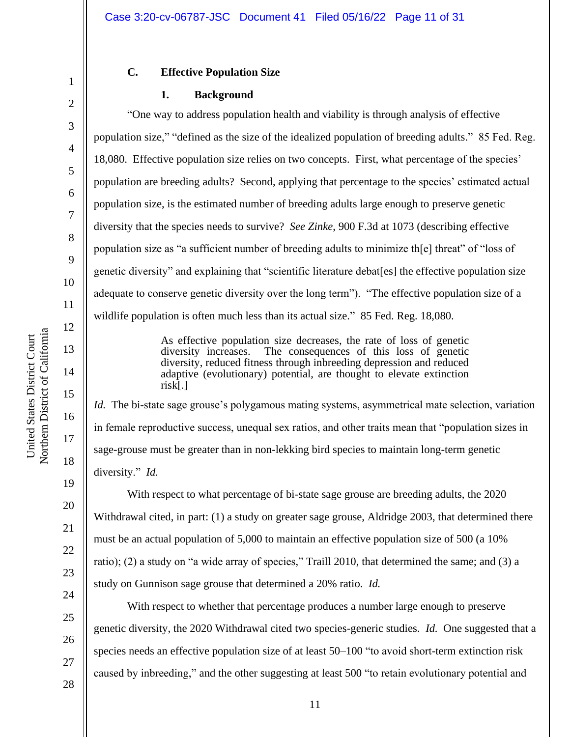### **C. Effective Population Size**

#### **1. Background**

"One way to address population health and viability is through analysis of effective population size," "defined as the size of the idealized population of breeding adults." 85 Fed. Reg. 18,080. Effective population size relies on two concepts. First, what percentage of the species' population are breeding adults? Second, applying that percentage to the species' estimated actual population size, is the estimated number of breeding adults large enough to preserve genetic diversity that the species needs to survive? *See Zinke*, 900 F.3d at 1073 (describing effective population size as "a sufficient number of breeding adults to minimize th[e] threat" of "loss of genetic diversity" and explaining that "scientific literature debat[es] the effective population size adequate to conserve genetic diversity over the long term"). "The effective population size of a wildlife population is often much less than its actual size." 85 Fed. Reg. 18,080.

> As effective population size decreases, the rate of loss of genetic diversity increases. The consequences of this loss of genetic diversity, reduced fitness through inbreeding depression and reduced adaptive (evolutionary) potential, are thought to elevate extinction risk[.]

*Id.* The bi-state sage grouse's polygamous mating systems, asymmetrical mate selection, variation in female reproductive success, unequal sex ratios, and other traits mean that "population sizes in sage-grouse must be greater than in non-lekking bird species to maintain long-term genetic diversity." *Id.*

With respect to what percentage of bi-state sage grouse are breeding adults, the 2020 Withdrawal cited, in part: (1) a study on greater sage grouse, Aldridge 2003, that determined there must be an actual population of 5,000 to maintain an effective population size of 500 (a 10% ratio); (2) a study on "a wide array of species," Traill 2010, that determined the same; and (3) a study on Gunnison sage grouse that determined a 20% ratio. *Id.*

With respect to whether that percentage produces a number large enough to preserve genetic diversity, the 2020 Withdrawal cited two species-generic studies. *Id.* One suggested that a species needs an effective population size of at least 50–100 "to avoid short-term extinction risk caused by inbreeding," and the other suggesting at least 500 "to retain evolutionary potential and

1

2

3

4

5

6

7

8

9

10

11

12

13

14

15

16

17

18

27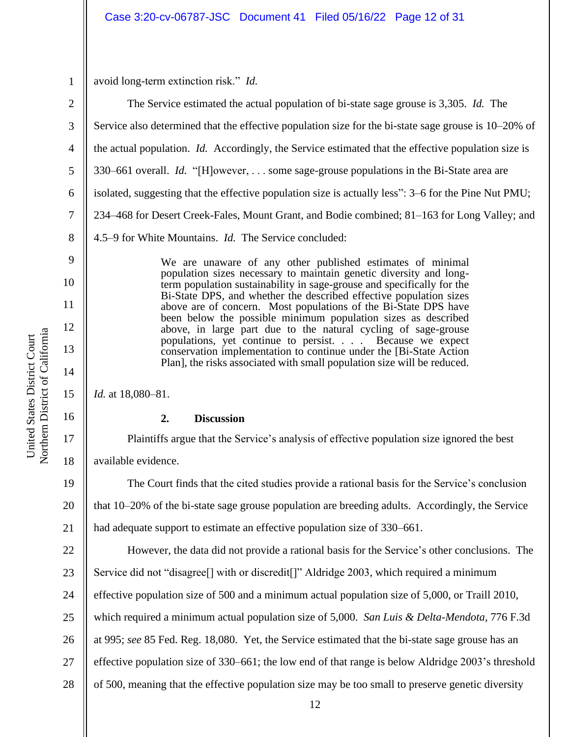1

9

10

11

12

13

14

15

16

17

18

avoid long-term extinction risk." *Id.*

2 3 4 5 6 7 8 The Service estimated the actual population of bi-state sage grouse is 3,305. *Id.* The Service also determined that the effective population size for the bi-state sage grouse is 10–20% of the actual population. *Id.* Accordingly, the Service estimated that the effective population size is 330–661 overall. *Id.* "[H]owever, . . . some sage-grouse populations in the Bi-State area are isolated, suggesting that the effective population size is actually less": 3–6 for the Pine Nut PMU; 234–468 for Desert Creek-Fales, Mount Grant, and Bodie combined; 81–163 for Long Valley; and 4.5–9 for White Mountains. *Id.* The Service concluded:

> We are unaware of any other published estimates of minimal population sizes necessary to maintain genetic diversity and longterm population sustainability in sage-grouse and specifically for the Bi-State DPS, and whether the described effective population sizes above are of concern. Most populations of the Bi-State DPS have been below the possible minimum population sizes as described above, in large part due to the natural cycling of sage-grouse populations, yet continue to persist. . . . Because we expect conservation implementation to continue under the [Bi-State Action Plan], the risks associated with small population size will be reduced.

*Id.* at 18,080–81.

# **2. Discussion**

Plaintiffs argue that the Service's analysis of effective population size ignored the best available evidence.

19 20 21 The Court finds that the cited studies provide a rational basis for the Service's conclusion that 10–20% of the bi-state sage grouse population are breeding adults. Accordingly, the Service had adequate support to estimate an effective population size of 330–661.

22 23 24 25 26 27 28 However, the data did not provide a rational basis for the Service's other conclusions. The Service did not "disagree[] with or discredit[]" Aldridge 2003, which required a minimum effective population size of 500 and a minimum actual population size of 5,000, or Traill 2010, which required a minimum actual population size of 5,000. *San Luis & Delta-Mendota*, 776 F.3d at 995; *see* 85 Fed. Reg. 18,080. Yet, the Service estimated that the bi-state sage grouse has an effective population size of 330–661; the low end of that range is below Aldridge 2003's threshold of 500, meaning that the effective population size may be too small to preserve genetic diversity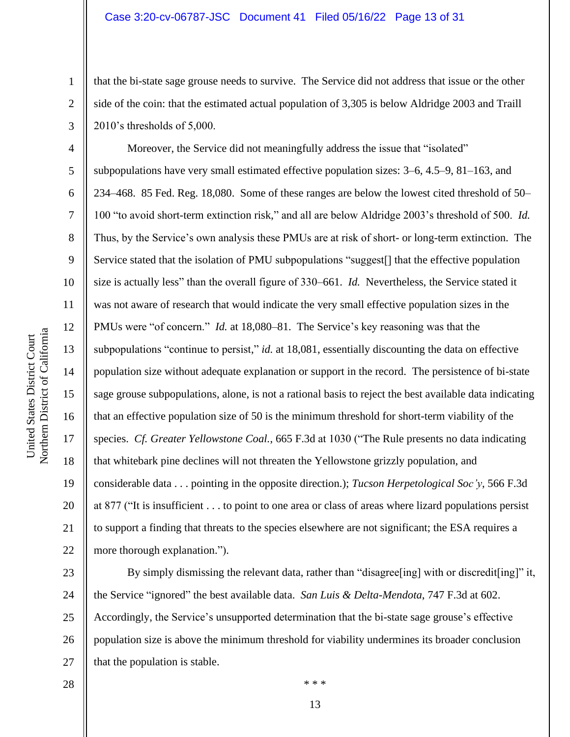### Case 3:20-cv-06787-JSC Document 41 Filed 05/16/22 Page 13 of 31

that the bi-state sage grouse needs to survive. The Service did not address that issue or the other side of the coin: that the estimated actual population of 3,305 is below Aldridge 2003 and Traill 2010's thresholds of 5,000.

Moreover, the Service did not meaningfully address the issue that "isolated" subpopulations have very small estimated effective population sizes: 3–6, 4.5–9, 81–163, and 234–468. 85 Fed. Reg. 18,080. Some of these ranges are below the lowest cited threshold of 50– 100 "to avoid short-term extinction risk," and all are below Aldridge 2003's threshold of 500. *Id.* Thus, by the Service's own analysis these PMUs are at risk of short- or long-term extinction. The Service stated that the isolation of PMU subpopulations "suggest<sup>[]</sup> that the effective population size is actually less" than the overall figure of 330–661. *Id.* Nevertheless, the Service stated it was not aware of research that would indicate the very small effective population sizes in the PMUs were "of concern." *Id.* at 18,080–81. The Service's key reasoning was that the subpopulations "continue to persist," *id.* at 18,081, essentially discounting the data on effective population size without adequate explanation or support in the record. The persistence of bi-state sage grouse subpopulations, alone, is not a rational basis to reject the best available data indicating that an effective population size of 50 is the minimum threshold for short-term viability of the species. *Cf. Greater Yellowstone Coal.*, 665 F.3d at 1030 ("The Rule presents no data indicating that whitebark pine declines will not threaten the Yellowstone grizzly population, and considerable data . . . pointing in the opposite direction.); *Tucson Herpetological Soc'y*, 566 F.3d at 877 ("It is insufficient . . . to point to one area or class of areas where lizard populations persist to support a finding that threats to the species elsewhere are not significant; the ESA requires a more thorough explanation.").

23 24 25 26 27 By simply dismissing the relevant data, rather than "disagree [ing] with or discredit [ing]" it, the Service "ignored" the best available data. *San Luis & Delta-Mendota*, 747 F.3d at 602. Accordingly, the Service's unsupported determination that the bi-state sage grouse's effective population size is above the minimum threshold for viability undermines its broader conclusion that the population is stable.

1

2

3

4

5

6

7

8

9

10

11

12

13

14

15

16

17

18

19

20

21

22

28

13

\* \* \*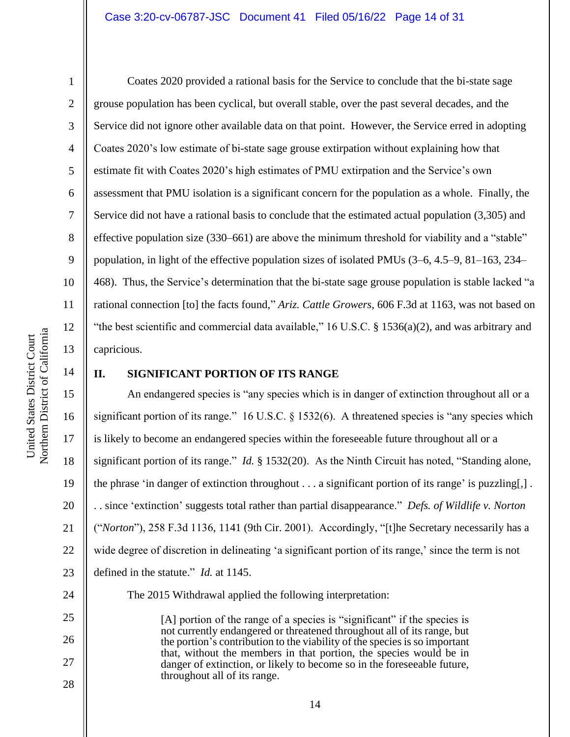Coates 2020 provided a rational basis for the Service to conclude that the bi-state sage grouse population has been cyclical, but overall stable, over the past several decades, and the Service did not ignore other available data on that point. However, the Service erred in adopting Coates 2020's low estimate of bi-state sage grouse extirpation without explaining how that estimate fit with Coates 2020's high estimates of PMU extirpation and the Service's own assessment that PMU isolation is a significant concern for the population as a whole. Finally, the Service did not have a rational basis to conclude that the estimated actual population (3,305) and effective population size (330–661) are above the minimum threshold for viability and a "stable" population, in light of the effective population sizes of isolated PMUs (3–6, 4.5–9, 81–163, 234– 468). Thus, the Service's determination that the bi-state sage grouse population is stable lacked "a rational connection [to] the facts found," *Ariz. Cattle Growers*, 606 F.3d at 1163, was not based on "the best scientific and commercial data available," 16 U.S.C. § 1536(a)(2), and was arbitrary and capricious.

# 14

15

16

17

18

19

20

21

22

23

25

26

27

28

1

2

3

4

5

6

7

8

9

10

11

12

13

### **II. SIGNIFICANT PORTION OF ITS RANGE**

An endangered species is "any species which is in danger of extinction throughout all or a significant portion of its range." 16 U.S.C. § 1532(6). A threatened species is "any species which is likely to become an endangered species within the foreseeable future throughout all or a significant portion of its range." *Id.* § 1532(20). As the Ninth Circuit has noted, "Standing alone, the phrase 'in danger of extinction throughout  $\dots$  a significant portion of its range' is puzzling[,]. . . since 'extinction' suggests total rather than partial disappearance." *Defs. of Wildlife v. Norton*  ("*Norton*"), 258 F.3d 1136, 1141 (9th Cir. 2001). Accordingly, "[t]he Secretary necessarily has a wide degree of discretion in delineating 'a significant portion of its range,' since the term is not defined in the statute." *Id.* at 1145.

24

The 2015 Withdrawal applied the following interpretation:

[A] portion of the range of a species is "significant" if the species is not currently endangered or threatened throughout all of its range, but the portion's contribution to the viability of the species is so important that, without the members in that portion, the species would be in danger of extinction, or likely to become so in the foreseeable future, throughout all of its range.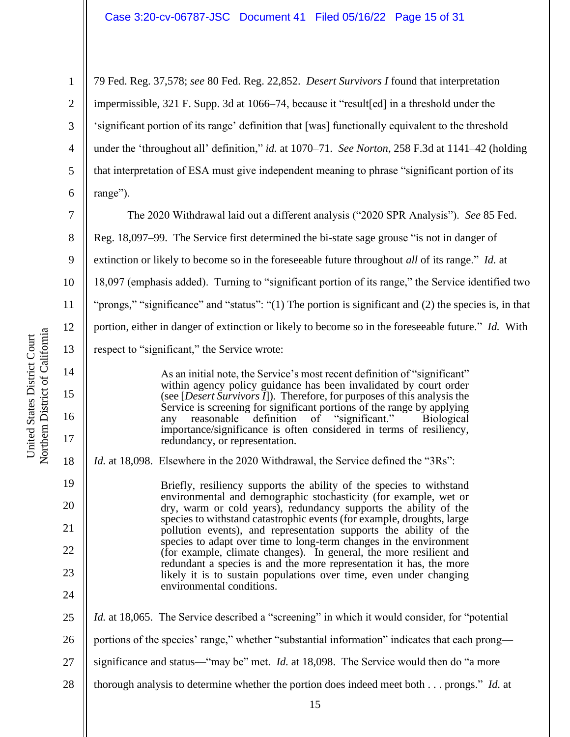79 Fed. Reg. 37,578; *see* 80 Fed. Reg. 22,852. *Desert Survivors I* found that interpretation impermissible, 321 F. Supp. 3d at 1066–74, because it "result[ed] in a threshold under the 'significant portion of its range' definition that [was] functionally equivalent to the threshold under the 'throughout all' definition," *id.* at 1070–71. *See Norton*, 258 F.3d at 1141–42 (holding that interpretation of ESA must give independent meaning to phrase "significant portion of its range").

7 8 9 10 11 12 13 The 2020 Withdrawal laid out a different analysis ("2020 SPR Analysis"). *See* 85 Fed. Reg. 18,097–99. The Service first determined the bi-state sage grouse "is not in danger of extinction or likely to become so in the foreseeable future throughout *all* of its range." *Id.* at 18,097 (emphasis added). Turning to "significant portion of its range," the Service identified two "prongs," "significance" and "status": "(1) The portion is significant and (2) the species is, in that portion, either in danger of extinction or likely to become so in the foreseeable future." *Id.* With respect to "significant," the Service wrote:

> As an initial note, the Service's most recent definition of "significant" within agency policy guidance has been invalidated by court order (see [*Desert Survivors I*]). Therefore, for purposes of this analysis the Service is screening for significant portions of the range by applying<br>any reasonable definition of "significant." Biological reasonable definition importance/significance is often considered in terms of resiliency, redundancy, or representation.

*Id.* at 18,098. Elsewhere in the 2020 Withdrawal, the Service defined the "3Rs":

Briefly, resiliency supports the ability of the species to withstand environmental and demographic stochasticity (for example, wet or dry, warm or cold years), redundancy supports the ability of the species to withstand catastrophic events (for example, droughts, large pollution events), and representation supports the ability of the species to adapt over time to long-term changes in the environment (for example, climate changes). In general, the more resilient and redundant a species is and the more representation it has, the more likely it is to sustain populations over time, even under changing environmental conditions.

25 26 27 28 *Id.* at 18,065. The Service described a "screening" in which it would consider, for "potential portions of the species' range," whether "substantial information" indicates that each prong significance and status—"may be" met. *Id.* at 18,098.The Service would then do "a more thorough analysis to determine whether the portion does indeed meet both . . . prongs." *Id.* at

14

15

16

17

18

19

20

21

22

23

24

1

2

3

4

5

6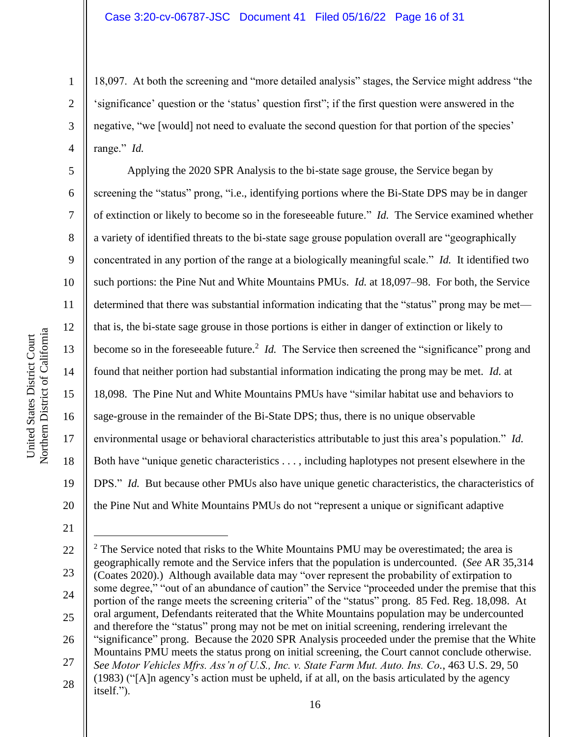18,097. At both the screening and "more detailed analysis" stages, the Service might address "the 'significance' question or the 'status' question first"; if the first question were answered in the negative, "we [would] not need to evaluate the second question for that portion of the species' range." *Id.*

Applying the 2020 SPR Analysis to the bi-state sage grouse, the Service began by screening the "status" prong, "i.e., identifying portions where the Bi-State DPS may be in danger of extinction or likely to become so in the foreseeable future." *Id.* The Service examined whether a variety of identified threats to the bi-state sage grouse population overall are "geographically concentrated in any portion of the range at a biologically meaningful scale." *Id.* It identified two such portions: the Pine Nut and White Mountains PMUs. *Id.* at 18,097–98. For both, the Service determined that there was substantial information indicating that the "status" prong may be met that is, the bi-state sage grouse in those portions is either in danger of extinction or likely to become so in the foreseeable future.<sup>2</sup> *Id*. The Service then screened the "significance" prong and found that neither portion had substantial information indicating the prong may be met. *Id.* at 18,098. The Pine Nut and White Mountains PMUs have "similar habitat use and behaviors to sage-grouse in the remainder of the Bi-State DPS; thus, there is no unique observable environmental usage or behavioral characteristics attributable to just this area's population." *Id.* Both have "unique genetic characteristics . . . , including haplotypes not present elsewhere in the DPS." *Id.* But because other PMUs also have unique genetic characteristics, the characteristics of the Pine Nut and White Mountains PMUs do not "represent a unique or significant adaptive

21

1

2

3

4

5

6

7

8

9

10

11

12

13

14

15

16

17

18

19

20

<sup>22</sup> 23 24 25 26 27 28  $2$  The Service noted that risks to the White Mountains PMU may be overestimated; the area is geographically remote and the Service infers that the population is undercounted. (*See* AR 35,314 (Coates 2020).) Although available data may "over represent the probability of extirpation to some degree," "out of an abundance of caution" the Service "proceeded under the premise that this portion of the range meets the screening criteria" of the "status" prong. 85 Fed. Reg. 18,098. At oral argument, Defendants reiterated that the White Mountains population may be undercounted and therefore the "status" prong may not be met on initial screening, rendering irrelevant the "significance" prong. Because the 2020 SPR Analysis proceeded under the premise that the White Mountains PMU meets the status prong on initial screening, the Court cannot conclude otherwise. *See Motor Vehicles Mfrs. Ass'n of U.S., Inc. v. State Farm Mut. Auto. Ins. Co.*, 463 U.S. 29, 50 (1983) ("[A]n agency's action must be upheld, if at all, on the basis articulated by the agency itself.").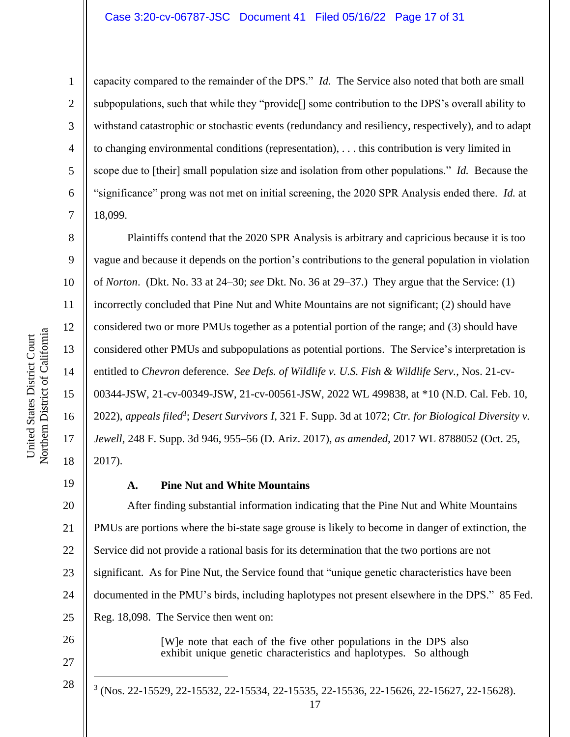### Case 3:20-cv-06787-JSC Document 41 Filed 05/16/22 Page 17 of 31

1

2

3

4

5

6

7

8

9

10

11

12

13

14

15

16

17

18

19

26

27

28

capacity compared to the remainder of the DPS." *Id.* The Service also noted that both are small subpopulations, such that while they "provide[] some contribution to the DPS's overall ability to withstand catastrophic or stochastic events (redundancy and resiliency, respectively), and to adapt to changing environmental conditions (representation), . . . this contribution is very limited in scope due to [their] small population size and isolation from other populations." *Id.* Because the "significance" prong was not met on initial screening, the 2020 SPR Analysis ended there. *Id.* at 18,099.

Plaintiffs contend that the 2020 SPR Analysis is arbitrary and capricious because it is too vague and because it depends on the portion's contributions to the general population in violation of *Norton*. (Dkt. No. 33 at 24–30; *see* Dkt. No. 36 at 29–37.) They argue that the Service: (1) incorrectly concluded that Pine Nut and White Mountains are not significant; (2) should have considered two or more PMUs together as a potential portion of the range; and (3) should have considered other PMUs and subpopulations as potential portions. The Service's interpretation is entitled to *Chevron* deference. *See Defs. of Wildlife v. U.S. Fish & Wildlife Serv.*, Nos. 21-cv-00344-JSW, 21-cv-00349-JSW, 21-cv-00561-JSW, 2022 WL 499838, at \*10 (N.D. Cal. Feb. 10, 2022), *appeals filed<sup>3</sup>; Desert Survivors I*, 321 F. Supp. 3d at 1072; *Ctr. for Biological Diversity v. Jewell*, 248 F. Supp. 3d 946, 955–56 (D. Ariz. 2017), *as amended*, 2017 WL 8788052 (Oct. 25, 2017).

### **A. Pine Nut and White Mountains**

20 21 22 23 24 25 After finding substantial information indicating that the Pine Nut and White Mountains PMUs are portions where the bi-state sage grouse is likely to become in danger of extinction, the Service did not provide a rational basis for its determination that the two portions are not significant. As for Pine Nut, the Service found that "unique genetic characteristics have been documented in the PMU's birds, including haplotypes not present elsewhere in the DPS." 85 Fed. Reg. 18,098. The Service then went on:

> [W]e note that each of the five other populations in the DPS also exhibit unique genetic characteristics and haplotypes. So although

<sup>3</sup> (Nos. 22-15529, 22-15532, 22-15534, 22-15535, 22-15536, 22-15626, 22-15627, 22-15628).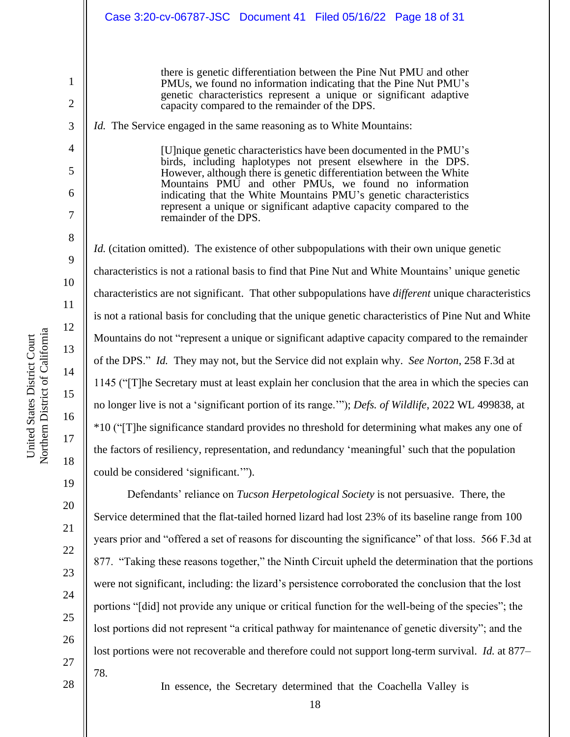there is genetic differentiation between the Pine Nut PMU and other PMUs, we found no information indicating that the Pine Nut PMU's genetic characteristics represent a unique or significant adaptive capacity compared to the remainder of the DPS.

*Id.* The Service engaged in the same reasoning as to White Mountains:

[U]nique genetic characteristics have been documented in the PMU's birds, including haplotypes not present elsewhere in the DPS. However, although there is genetic differentiation between the White Mountains PMU and other PMUs, we found no information indicating that the White Mountains PMU's genetic characteristics represent a unique or significant adaptive capacity compared to the remainder of the DPS.

*Id.* (citation omitted). The existence of other subpopulations with their own unique genetic characteristics is not a rational basis to find that Pine Nut and White Mountains' unique genetic characteristics are not significant. That other subpopulations have *different* unique characteristics is not a rational basis for concluding that the unique genetic characteristics of Pine Nut and White Mountains do not "represent a unique or significant adaptive capacity compared to the remainder of the DPS." *Id.* They may not, but the Service did not explain why. *See Norton*, 258 F.3d at 1145 ("[T]he Secretary must at least explain her conclusion that the area in which the species can no longer live is not a 'significant portion of its range.'"); *Defs. of Wildlife*, 2022 WL 499838, at \*10 ("[T]he significance standard provides no threshold for determining what makes any one of the factors of resiliency, representation, and redundancy 'meaningful' such that the population could be considered 'significant.'").

Defendants' reliance on *Tucson Herpetological Society* is not persuasive. There, the Service determined that the flat-tailed horned lizard had lost 23% of its baseline range from 100 years prior and "offered a set of reasons for discounting the significance" of that loss. 566 F.3d at 877. "Taking these reasons together," the Ninth Circuit upheld the determination that the portions were not significant, including: the lizard's persistence corroborated the conclusion that the lost portions "[did] not provide any unique or critical function for the well-being of the species"; the lost portions did not represent "a critical pathway for maintenance of genetic diversity"; and the lost portions were not recoverable and therefore could not support long-term survival. *Id.* at 877– 78.

28

18 In essence, the Secretary determined that the Coachella Valley is

1

2

3

4

5

6

7

8

9

10

11

12

13

14

15

16

17

18

19

20

21

22

23

24

25

26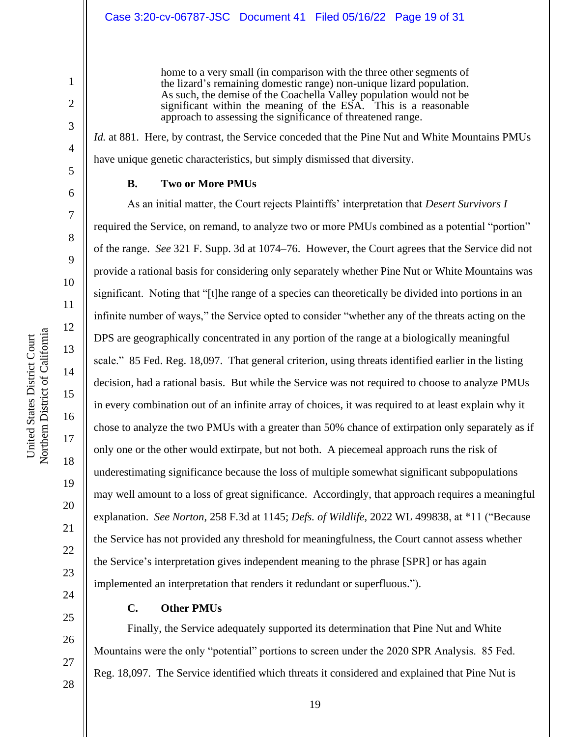home to a very small (in comparison with the three other segments of the lizard's remaining domestic range) non-unique lizard population. As such, the demise of the Coachella Valley population would not be significant within the meaning of the ESA. This is a reasonable approach to assessing the significance of threatened range.

*Id.* at 881. Here, by contrast, the Service conceded that the Pine Nut and White Mountains PMUs have unique genetic characteristics, but simply dismissed that diversity.

### **B. Two or More PMUs**

As an initial matter, the Court rejects Plaintiffs' interpretation that *Desert Survivors I* required the Service, on remand, to analyze two or more PMUs combined as a potential "portion" of the range. *See* 321 F. Supp. 3d at 1074–76. However, the Court agrees that the Service did not provide a rational basis for considering only separately whether Pine Nut or White Mountains was significant. Noting that "[t]he range of a species can theoretically be divided into portions in an infinite number of ways," the Service opted to consider "whether any of the threats acting on the DPS are geographically concentrated in any portion of the range at a biologically meaningful scale." 85 Fed. Reg. 18,097. That general criterion, using threats identified earlier in the listing decision, had a rational basis. But while the Service was not required to choose to analyze PMUs in every combination out of an infinite array of choices, it was required to at least explain why it chose to analyze the two PMUs with a greater than 50% chance of extirpation only separately as if only one or the other would extirpate, but not both. A piecemeal approach runs the risk of underestimating significance because the loss of multiple somewhat significant subpopulations may well amount to a loss of great significance. Accordingly, that approach requires a meaningful explanation. *See Norton*, 258 F.3d at 1145; *Defs. of Wildlife*, 2022 WL 499838, at \*11 ("Because the Service has not provided any threshold for meaningfulness, the Court cannot assess whether the Service's interpretation gives independent meaning to the phrase [SPR] or has again implemented an interpretation that renders it redundant or superfluous.").

25

# **C. Other PMUs**

Finally, the Service adequately supported its determination that Pine Nut and White Mountains were the only "potential" portions to screen under the 2020 SPR Analysis. 85 Fed. Reg. 18,097. The Service identified which threats it considered and explained that Pine Nut is

1

2

3

4

5

6

7

8

9

10

11

12

13

14

15

16

17

18

19

20

21

22

23

24

26

27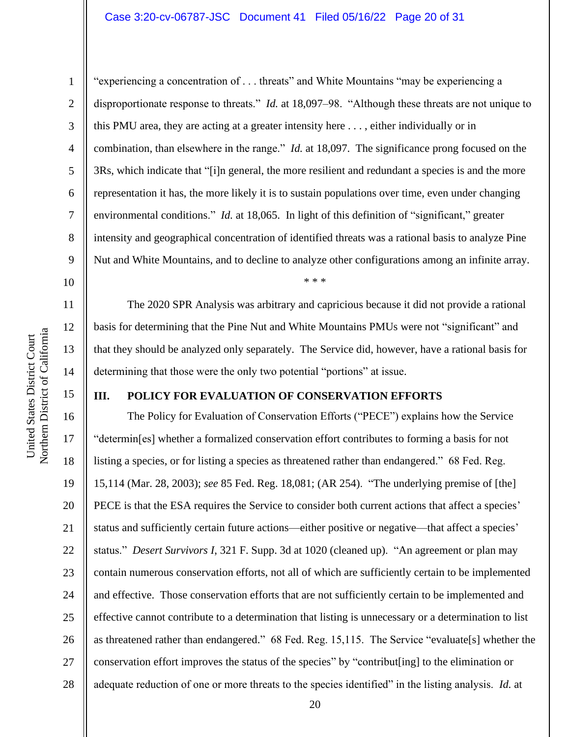# Case 3:20-cv-06787-JSC Document 41 Filed 05/16/22 Page 20 of 31

1

2

3

4

5

6

7

8

9

10

11

12

13

14

15

"experiencing a concentration of . . . threats" and White Mountains "may be experiencing a disproportionate response to threats." *Id.* at 18,097–98. "Although these threats are not unique to this PMU area, they are acting at a greater intensity here . . . , either individually or in combination, than elsewhere in the range." *Id.* at 18,097. The significance prong focused on the 3Rs, which indicate that "[i]n general, the more resilient and redundant a species is and the more representation it has, the more likely it is to sustain populations over time, even under changing environmental conditions." *Id.* at 18,065. In light of this definition of "significant," greater intensity and geographical concentration of identified threats was a rational basis to analyze Pine Nut and White Mountains, and to decline to analyze other configurations among an infinite array. \* \* \*

The 2020 SPR Analysis was arbitrary and capricious because it did not provide a rational basis for determining that the Pine Nut and White Mountains PMUs were not "significant" and that they should be analyzed only separately. The Service did, however, have a rational basis for determining that those were the only two potential "portions" at issue.

# **III. POLICY FOR EVALUATION OF CONSERVATION EFFORTS**

16 17 18 19 20 21 22 23 24 25 26 27 28 The Policy for Evaluation of Conservation Efforts ("PECE") explains how the Service "determin[es] whether a formalized conservation effort contributes to forming a basis for not listing a species, or for listing a species as threatened rather than endangered." 68 Fed. Reg. 15,114 (Mar. 28, 2003); *see* 85 Fed. Reg. 18,081; (AR 254). "The underlying premise of [the] PECE is that the ESA requires the Service to consider both current actions that affect a species' status and sufficiently certain future actions—either positive or negative—that affect a species' status." *Desert Survivors I*, 321 F. Supp. 3d at 1020 (cleaned up). "An agreement or plan may contain numerous conservation efforts, not all of which are sufficiently certain to be implemented and effective. Those conservation efforts that are not sufficiently certain to be implemented and effective cannot contribute to a determination that listing is unnecessary or a determination to list as threatened rather than endangered." 68 Fed. Reg. 15,115. The Service "evaluate[s] whether the conservation effort improves the status of the species" by "contribut[ing] to the elimination or adequate reduction of one or more threats to the species identified" in the listing analysis. *Id.* at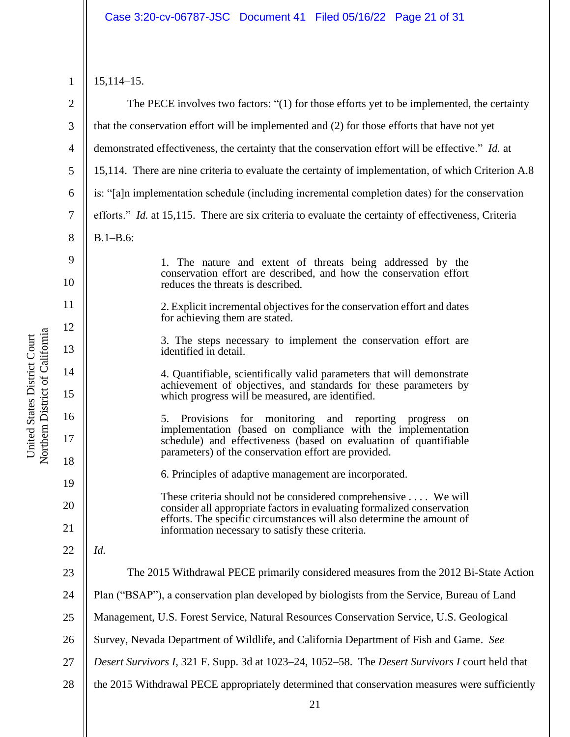Northern District of California Northern District of California United States District Court United States District Court

1 2 3 4 5 6 7 8 9 10 11 12 13 14 15 16 17 18 19 20 21 22 23 24 25 26 27 28 15,114–15. The PECE involves two factors: "(1) for those efforts yet to be implemented, the certainty that the conservation effort will be implemented and (2) for those efforts that have not yet demonstrated effectiveness, the certainty that the conservation effort will be effective." *Id.* at 15,114. There are nine criteria to evaluate the certainty of implementation, of which Criterion A.8 is: "[a]n implementation schedule (including incremental completion dates) for the conservation efforts." *Id.* at 15,115. There are six criteria to evaluate the certainty of effectiveness, Criteria B.1–B.6: 1. The nature and extent of threats being addressed by the conservation effort are described, and how the conservation effort reduces the threats is described. 2. Explicit incremental objectives for the conservation effort and dates for achieving them are stated. 3. The steps necessary to implement the conservation effort are identified in detail. 4. Quantifiable, scientifically valid parameters that will demonstrate achievement of objectives, and standards for these parameters by which progress will be measured, are identified. 5. Provisions for monitoring and reporting progress on implementation (based on compliance with the implementation schedule) and effectiveness (based on evaluation of quantifiable parameters) of the conservation effort are provided. 6. Principles of adaptive management are incorporated. These criteria should not be considered comprehensive . . . . We will consider all appropriate factors in evaluating formalized conservation efforts. The specific circumstances will also determine the amount of information necessary to satisfy these criteria. *Id.* The 2015 Withdrawal PECE primarily considered measures from the 2012 Bi-State Action Plan ("BSAP"), a conservation plan developed by biologists from the Service, Bureau of Land Management, U.S. Forest Service, Natural Resources Conservation Service, U.S. Geological Survey, Nevada Department of Wildlife, and California Department of Fish and Game. *See Desert Survivors I*, 321 F. Supp. 3d at 1023–24, 1052–58. The *Desert Survivors I* court held that the 2015 Withdrawal PECE appropriately determined that conservation measures were sufficiently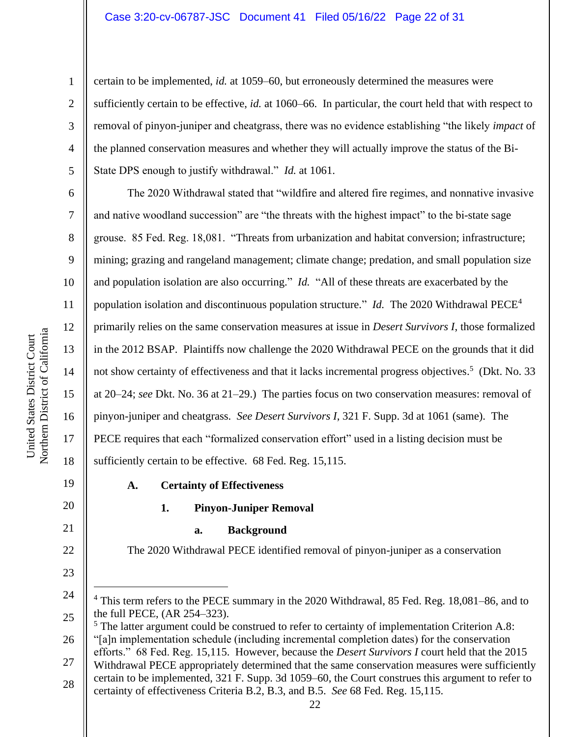# Case 3:20-cv-06787-JSC Document 41 Filed 05/16/22 Page 22 of 31

certain to be implemented, *id.* at 1059–60, but erroneously determined the measures were sufficiently certain to be effective, *id.* at 1060–66. In particular, the court held that with respect to removal of pinyon-juniper and cheatgrass, there was no evidence establishing "the likely *impact* of the planned conservation measures and whether they will actually improve the status of the Bi-State DPS enough to justify withdrawal." *Id.* at 1061.

The 2020 Withdrawal stated that "wildfire and altered fire regimes, and nonnative invasive and native woodland succession" are "the threats with the highest impact" to the bi-state sage grouse. 85 Fed. Reg. 18,081. "Threats from urbanization and habitat conversion; infrastructure; mining; grazing and rangeland management; climate change; predation, and small population size and population isolation are also occurring." *Id.* "All of these threats are exacerbated by the population isolation and discontinuous population structure." *Id.* The 2020 Withdrawal PECE<sup>4</sup> primarily relies on the same conservation measures at issue in *Desert Survivors I*, those formalized in the 2012 BSAP. Plaintiffs now challenge the 2020 Withdrawal PECE on the grounds that it did not show certainty of effectiveness and that it lacks incremental progress objectives.<sup>5</sup> (Dkt. No. 33) at 20–24; *see* Dkt. No. 36 at 21–29.) The parties focus on two conservation measures: removal of pinyon-juniper and cheatgrass. *See Desert Survivors I*, 321 F. Supp. 3d at 1061 (same). The PECE requires that each "formalized conservation effort" used in a listing decision must be sufficiently certain to be effective. 68 Fed. Reg. 15,115.

19

1

2

3

4

5

6

7

8

9

10

11

12

13

14

15

16

17

18

20

21

22

23

# **A. Certainty of Effectiveness**

# **1. Pinyon-Juniper Removal**

### **a. Background**

The 2020 Withdrawal PECE identified removal of pinyon-juniper as a conservation

<sup>5</sup> The latter argument could be construed to refer to certainty of implementation Criterion A.8:

<sup>24</sup> 25 <sup>4</sup> This term refers to the PECE summary in the 2020 Withdrawal, 85 Fed. Reg. 18,081–86, and to the full PECE, (AR 254–323).

<sup>26</sup> "[a]n implementation schedule (including incremental completion dates) for the conservation efforts." 68 Fed. Reg. 15,115. However, because the *Desert Survivors I* court held that the 2015

<sup>27</sup> Withdrawal PECE appropriately determined that the same conservation measures were sufficiently certain to be implemented, 321 F. Supp. 3d 1059–60, the Court construes this argument to refer to

<sup>28</sup> certainty of effectiveness Criteria B.2, B.3, and B.5. *See* 68 Fed. Reg. 15,115.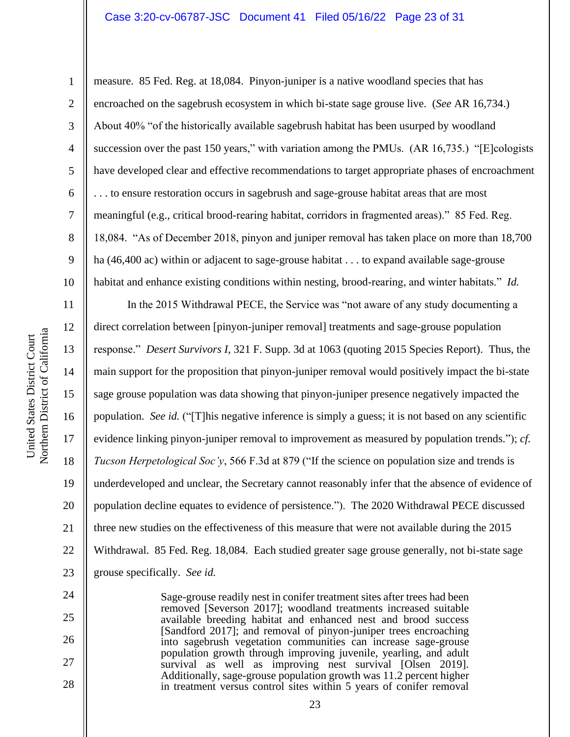### Case 3:20-cv-06787-JSC Document 41 Filed 05/16/22 Page 23 of 31

24

25

26

27

28

1 2 3 4 5 6 7 8 9 10 measure. 85 Fed. Reg. at 18,084. Pinyon-juniper is a native woodland species that has encroached on the sagebrush ecosystem in which bi-state sage grouse live. (*See* AR 16,734.) About 40% "of the historically available sagebrush habitat has been usurped by woodland succession over the past 150 years," with variation among the PMUs. (AR 16,735.) "[E]cologists have developed clear and effective recommendations to target appropriate phases of encroachment . . . to ensure restoration occurs in sagebrush and sage-grouse habitat areas that are most meaningful (e.g., critical brood-rearing habitat, corridors in fragmented areas)." 85 Fed. Reg. 18,084. "As of December 2018, pinyon and juniper removal has taken place on more than 18,700 ha (46,400 ac) within or adjacent to sage-grouse habitat . . . to expand available sage-grouse habitat and enhance existing conditions within nesting, brood-rearing, and winter habitats." *Id.*

11 12 13 14 15 16 17 18 19 20 21 22 23 In the 2015 Withdrawal PECE, the Service was "not aware of any study documenting a direct correlation between [pinyon-juniper removal] treatments and sage-grouse population response." *Desert Survivors I*, 321 F. Supp. 3d at 1063 (quoting 2015 Species Report). Thus, the main support for the proposition that pinyon-juniper removal would positively impact the bi-state sage grouse population was data showing that pinyon-juniper presence negatively impacted the population. *See id.* ("[T]his negative inference is simply a guess; it is not based on any scientific evidence linking pinyon-juniper removal to improvement as measured by population trends."); *cf. Tucson Herpetological Soc'y*, 566 F.3d at 879 ("If the science on population size and trends is underdeveloped and unclear, the Secretary cannot reasonably infer that the absence of evidence of population decline equates to evidence of persistence."). The 2020 Withdrawal PECE discussed three new studies on the effectiveness of this measure that were not available during the 2015 Withdrawal. 85 Fed. Reg. 18,084. Each studied greater sage grouse generally, not bi-state sage grouse specifically. *See id.*

> Sage-grouse readily nest in conifer treatment sites after trees had been removed [Severson 2017]; woodland treatments increased suitable available breeding habitat and enhanced nest and brood success [Sandford 2017]; and removal of pinyon-juniper trees encroaching into sagebrush vegetation communities can increase sage-grouse population growth through improving juvenile, yearling, and adult survival as well as improving nest survival [Olsen 2019]. Additionally, sage-grouse population growth was 11.2 percent higher in treatment versus control sites within 5 years of conifer removal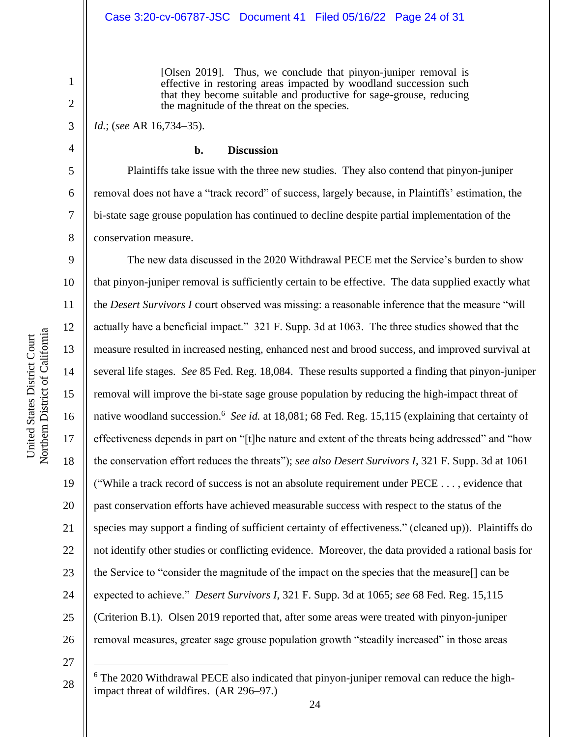[Olsen 2019]. Thus, we conclude that pinyon-juniper removal is effective in restoring areas impacted by woodland succession such that they become suitable and productive for sage-grouse, reducing the magnitude of the threat on the species.

# *Id.*; (*see* AR 16,734–35).

1

2

3

4

5

6

7

8

9

11

13

14

15

17

18

19

21

23

24

25

#### **b. Discussion**

Plaintiffs take issue with the three new studies. They also contend that pinyon-juniper removal does not have a "track record" of success, largely because, in Plaintiffs' estimation, the bi-state sage grouse population has continued to decline despite partial implementation of the conservation measure.

10 12 16 20 22 26 The new data discussed in the 2020 Withdrawal PECE met the Service's burden to show that pinyon-juniper removal is sufficiently certain to be effective. The data supplied exactly what the *Desert Survivors I* court observed was missing: a reasonable inference that the measure "will actually have a beneficial impact." 321 F. Supp. 3d at 1063. The three studies showed that the measure resulted in increased nesting, enhanced nest and brood success, and improved survival at several life stages. *See* 85 Fed. Reg. 18,084. These results supported a finding that pinyon-juniper removal will improve the bi-state sage grouse population by reducing the high-impact threat of native woodland succession.<sup>6</sup> See id. at 18,081; 68 Fed. Reg. 15,115 (explaining that certainty of effectiveness depends in part on "[t]he nature and extent of the threats being addressed" and "how the conservation effort reduces the threats"); *see also Desert Survivors I*, 321 F. Supp. 3d at 1061 ("While a track record of success is not an absolute requirement under PECE . . . , evidence that past conservation efforts have achieved measurable success with respect to the status of the species may support a finding of sufficient certainty of effectiveness." (cleaned up)). Plaintiffs do not identify other studies or conflicting evidence. Moreover, the data provided a rational basis for the Service to "consider the magnitude of the impact on the species that the measure[] can be expected to achieve." *Desert Survivors I*, 321 F. Supp. 3d at 1065; *see* 68 Fed. Reg. 15,115 (Criterion B.1). Olsen 2019 reported that, after some areas were treated with pinyon-juniper removal measures, greater sage grouse population growth "steadily increased" in those areas

27

<sup>&</sup>lt;sup>6</sup> The 2020 Withdrawal PECE also indicated that pinyon-juniper removal can reduce the highimpact threat of wildfires. (AR 296–97.)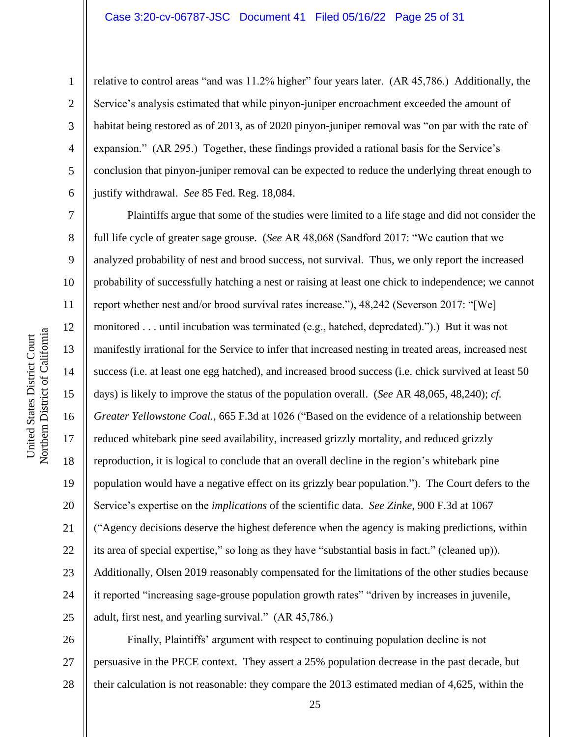### Case 3:20-cv-06787-JSC Document 41 Filed 05/16/22 Page 25 of 31

relative to control areas "and was 11.2% higher" four years later. (AR 45,786.) Additionally, the Service's analysis estimated that while pinyon-juniper encroachment exceeded the amount of habitat being restored as of 2013, as of 2020 pinyon-juniper removal was "on par with the rate of expansion." (AR 295.) Together, these findings provided a rational basis for the Service's conclusion that pinyon-juniper removal can be expected to reduce the underlying threat enough to justify withdrawal. *See* 85 Fed. Reg. 18,084.

Plaintiffs argue that some of the studies were limited to a life stage and did not consider the full life cycle of greater sage grouse. (*See* AR 48,068 (Sandford 2017: "We caution that we analyzed probability of nest and brood success, not survival. Thus, we only report the increased probability of successfully hatching a nest or raising at least one chick to independence; we cannot report whether nest and/or brood survival rates increase."), 48,242 (Severson 2017: "[We] monitored . . . until incubation was terminated (e.g., hatched, depredated).").) But it was not manifestly irrational for the Service to infer that increased nesting in treated areas, increased nest success (i.e. at least one egg hatched), and increased brood success (i.e. chick survived at least 50 days) is likely to improve the status of the population overall. (*See* AR 48,065, 48,240); *cf. Greater Yellowstone Coal.*, 665 F.3d at 1026 ("Based on the evidence of a relationship between reduced whitebark pine seed availability, increased grizzly mortality, and reduced grizzly reproduction, it is logical to conclude that an overall decline in the region's whitebark pine population would have a negative effect on its grizzly bear population."). The Court defers to the Service's expertise on the *implications* of the scientific data. *See Zinke*, 900 F.3d at 1067 ("Agency decisions deserve the highest deference when the agency is making predictions, within its area of special expertise," so long as they have "substantial basis in fact." (cleaned up)). Additionally, Olsen 2019 reasonably compensated for the limitations of the other studies because it reported "increasing sage-grouse population growth rates" "driven by increases in juvenile, adult, first nest, and yearling survival." (AR 45,786.)

26 27 28 Finally, Plaintiffs' argument with respect to continuing population decline is not persuasive in the PECE context. They assert a 25% population decrease in the past decade, but their calculation is not reasonable: they compare the 2013 estimated median of 4,625, within the

1

2

3

4

5

6

7

8

9

10

11

12

13

14

15

16

17

18

19

20

21

22

23

24

25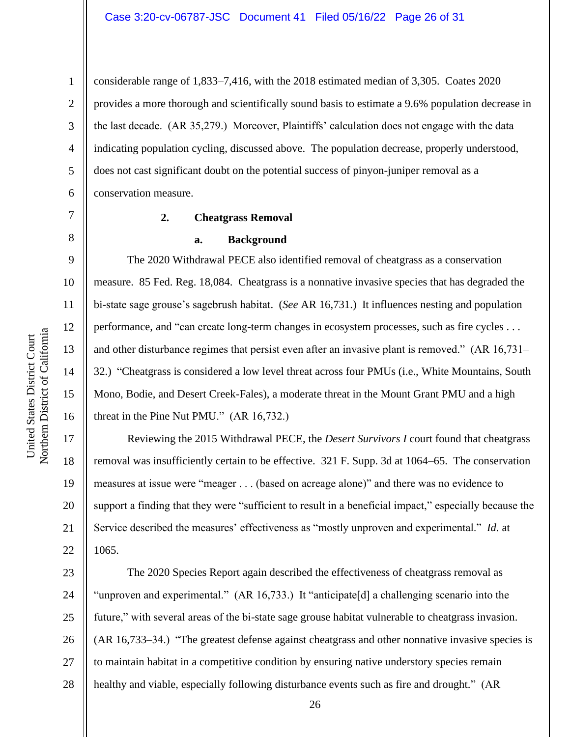considerable range of 1,833–7,416, with the 2018 estimated median of 3,305. Coates 2020 provides a more thorough and scientifically sound basis to estimate a 9.6% population decrease in the last decade. (AR 35,279.) Moreover, Plaintiffs' calculation does not engage with the data indicating population cycling, discussed above. The population decrease, properly understood, does not cast significant doubt on the potential success of pinyon-juniper removal as a conservation measure.

#### **2. Cheatgrass Removal**

#### **a. Background**

The 2020 Withdrawal PECE also identified removal of cheatgrass as a conservation measure. 85 Fed. Reg. 18,084. Cheatgrass is a nonnative invasive species that has degraded the bi-state sage grouse's sagebrush habitat. (*See* AR 16,731.) It influences nesting and population performance, and "can create long-term changes in ecosystem processes, such as fire cycles . . . and other disturbance regimes that persist even after an invasive plant is removed." (AR 16,731– 32.) "Cheatgrass is considered a low level threat across four PMUs (i.e., White Mountains, South Mono, Bodie, and Desert Creek-Fales), a moderate threat in the Mount Grant PMU and a high threat in the Pine Nut PMU." (AR 16,732.)

Reviewing the 2015 Withdrawal PECE, the *Desert Survivors I* court found that cheatgrass removal was insufficiently certain to be effective. 321 F. Supp. 3d at 1064–65. The conservation measures at issue were "meager . . . (based on acreage alone)" and there was no evidence to support a finding that they were "sufficient to result in a beneficial impact," especially because the Service described the measures' effectiveness as "mostly unproven and experimental." *Id.* at 1065.

23 24 25 26 27 28 The 2020 Species Report again described the effectiveness of cheatgrass removal as "unproven and experimental." (AR 16,733.) It "anticipate[d] a challenging scenario into the future," with several areas of the bi-state sage grouse habitat vulnerable to cheatgrass invasion. (AR 16,733–34.) "The greatest defense against cheatgrass and other nonnative invasive species is to maintain habitat in a competitive condition by ensuring native understory species remain healthy and viable, especially following disturbance events such as fire and drought." (AR

1

2

3

4

5

6

7

8

9

10

11

12

13

14

15

16

17

18

19

20

21

22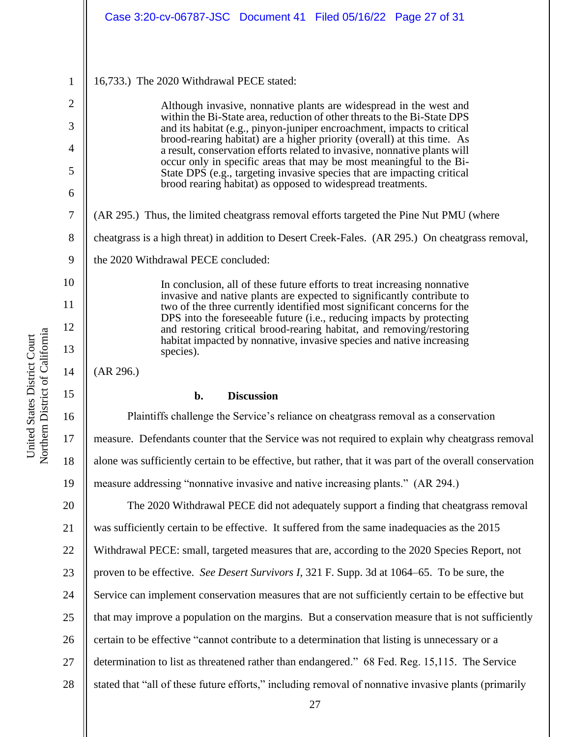|                | Case 3:20-cv-06787-JSC Document 41 Filed 05/16/22 Page 27 of 31                                                                                      |
|----------------|------------------------------------------------------------------------------------------------------------------------------------------------------|
|                |                                                                                                                                                      |
| $\mathbf{1}$   | 16,733.) The 2020 Withdrawal PECE stated:                                                                                                            |
| $\overline{2}$ | Although invasive, nonnative plants are widespread in the west and                                                                                   |
| 3              | within the Bi-State area, reduction of other threats to the Bi-State DPS<br>and its habitat (e.g., pinyon-juniper encroachment, impacts to critical  |
| 4              | brood-rearing habitat) are a higher priority (overall) at this time. As<br>a result, conservation efforts related to invasive, nonnative plants will |
| 5              | occur only in specific areas that may be most meaningful to the Bi-<br>State DPS (e.g., targeting invasive species that are impacting critical       |
| 6              | brood rearing habitat) as opposed to widespread treatments.                                                                                          |
| $\tau$         | (AR 295.) Thus, the limited cheatgrass removal efforts targeted the Pine Nut PMU (where                                                              |
| 8              | cheatgrass is a high threat) in addition to Desert Creek-Fales. (AR 295.) On cheatgrass removal,                                                     |
| 9              | the 2020 Withdrawal PECE concluded:                                                                                                                  |
| 10             | In conclusion, all of these future efforts to treat increasing nonnative                                                                             |
| 11             | invasive and native plants are expected to significantly contribute to<br>two of the three currently identified most significant concerns for the    |
| 12             | DPS into the foreseeable future (i.e., reducing impacts by protecting<br>and restoring critical brood-rearing habitat, and removing/restoring        |
| 13             | habitat impacted by nonnative, invasive species and native increasing<br>species).                                                                   |
| 14             | (AR 296.)                                                                                                                                            |
| 15             | <b>Discussion</b><br>b.                                                                                                                              |
| 16             | Plaintiffs challenge the Service's reliance on cheatgrass removal as a conservation                                                                  |
| 17             | measure. Defendants counter that the Service was not required to explain why cheatgrass removal                                                      |
| 18             | alone was sufficiently certain to be effective, but rather, that it was part of the overall conservation                                             |
| 19             | measure addressing "nonnative invasive and native increasing plants." (AR 294.)                                                                      |
| 20             | The 2020 Withdrawal PECE did not adequately support a finding that cheatgrass removal                                                                |
| 21             | was sufficiently certain to be effective. It suffered from the same inadequacies as the 2015                                                         |
| 22             | Withdrawal PECE: small, targeted measures that are, according to the 2020 Species Report, not                                                        |
| 23             | proven to be effective. See Desert Survivors I, 321 F. Supp. 3d at 1064–65. To be sure, the                                                          |
| 24             | Service can implement conservation measures that are not sufficiently certain to be effective but                                                    |
| 25             | that may improve a population on the margins. But a conservation measure that is not sufficiently                                                    |
| 26             | certain to be effective "cannot contribute to a determination that listing is unnecessary or a                                                       |
| 27             | determination to list as threatened rather than endangered." 68 Fed. Reg. 15,115. The Service                                                        |
| 28             | stated that "all of these future efforts," including removal of nonnative invasive plants (primarily                                                 |

United States District Court<br>Northern District of California Northern District of California United States District Court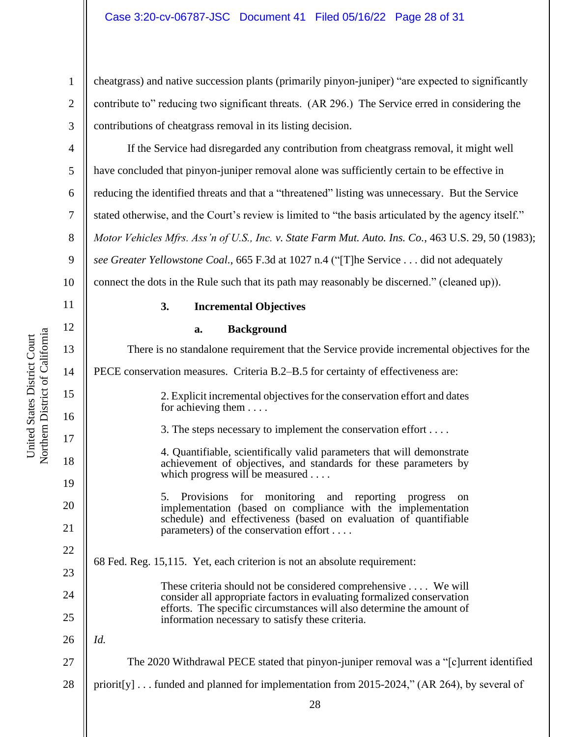cheatgrass) and native succession plants (primarily pinyon-juniper) "are expected to significantly contribute to" reducing two significant threats. (AR 296.) The Service erred in considering the contributions of cheatgrass removal in its listing decision.

4 5 6 7 8 9 10 If the Service had disregarded any contribution from cheatgrass removal, it might well have concluded that pinyon-juniper removal alone was sufficiently certain to be effective in reducing the identified threats and that a "threatened" listing was unnecessary. But the Service stated otherwise, and the Court's review is limited to "the basis articulated by the agency itself." *Motor Vehicles Mfrs. Ass'n of U.S., Inc. v. State Farm Mut. Auto. Ins. Co.*, 463 U.S. 29, 50 (1983); *see Greater Yellowstone Coal.*, 665 F.3d at 1027 n.4 ("[T]he Service . . . did not adequately connect the dots in the Rule such that its path may reasonably be discerned." (cleaned up)).

11

12

13

14

15

16

17

18

19

20

21

22

23

24

25

26

27

28

1

2

3

Northern District of California Northern District of California United States District Court United States District Court

# **3. Incremental Objectives**

**a. Background**

28 There is no standalone requirement that the Service provide incremental objectives for the PECE conservation measures. Criteria B.2–B.5 for certainty of effectiveness are: 2. Explicit incremental objectives for the conservation effort and dates for achieving them . . . . 3. The steps necessary to implement the conservation effort . . . . 4. Quantifiable, scientifically valid parameters that will demonstrate achievement of objectives, and standards for these parameters by which progress will be measured . . . . 5. Provisions for monitoring and reporting progress on implementation (based on compliance with the implementation schedule) and effectiveness (based on evaluation of quantifiable parameters) of the conservation effort . . . . 68 Fed. Reg. 15,115. Yet, each criterion is not an absolute requirement: These criteria should not be considered comprehensive . . . . We will consider all appropriate factors in evaluating formalized conservation efforts. The specific circumstances will also determine the amount of information necessary to satisfy these criteria. *Id.* The 2020 Withdrawal PECE stated that pinyon-juniper removal was a "[c]urrent identified priorit[y] . . . funded and planned for implementation from 2015-2024," (AR 264), by several of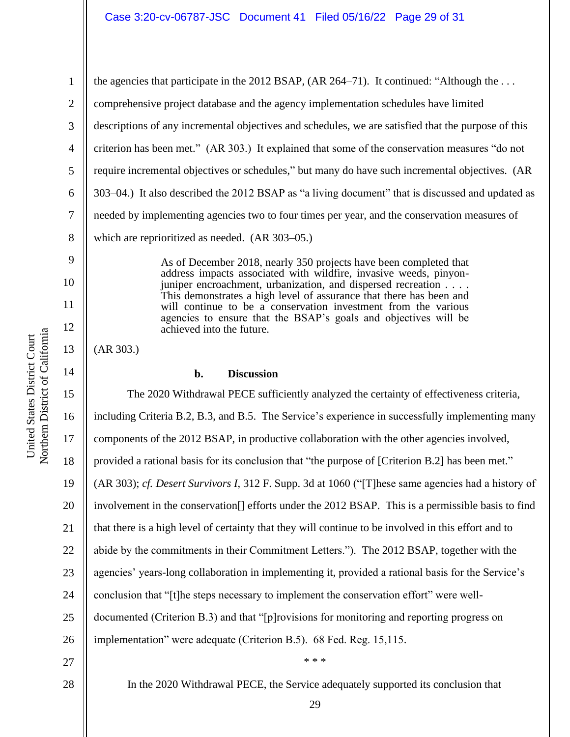1 2 3 4 5 6 7 8 the agencies that participate in the 2012 BSAP, (AR 264–71). It continued: "Although the ... comprehensive project database and the agency implementation schedules have limited descriptions of any incremental objectives and schedules, we are satisfied that the purpose of this criterion has been met." (AR 303.) It explained that some of the conservation measures "do not require incremental objectives or schedules," but many do have such incremental objectives. (AR 303–04.) It also described the 2012 BSAP as "a living document" that is discussed and updated as needed by implementing agencies two to four times per year, and the conservation measures of which are reprioritized as needed. (AR 303–05.)

> As of December 2018, nearly 350 projects have been completed that address impacts associated with wildfire, invasive weeds, pinyonjuniper encroachment, urbanization, and dispersed recreation . . . . This demonstrates a high level of assurance that there has been and will continue to be a conservation investment from the various agencies to ensure that the BSAP's goals and objectives will be achieved into the future.

(AR 303.)

9

10

11

12

13

14

# **b. Discussion**

15 16 17 18 19 20 21 22 23 24 25 26 27 The 2020 Withdrawal PECE sufficiently analyzed the certainty of effectiveness criteria, including Criteria B.2, B.3, and B.5. The Service's experience in successfully implementing many components of the 2012 BSAP, in productive collaboration with the other agencies involved, provided a rational basis for its conclusion that "the purpose of [Criterion B.2] has been met." (AR 303); *cf. Desert Survivors I*, 312 F. Supp. 3d at 1060 ("[T]hese same agencies had a history of involvement in the conservation[] efforts under the 2012 BSAP. This is a permissible basis to find that there is a high level of certainty that they will continue to be involved in this effort and to abide by the commitments in their Commitment Letters."). The 2012 BSAP, together with the agencies' years-long collaboration in implementing it, provided a rational basis for the Service's conclusion that "[t]he steps necessary to implement the conservation effort" were welldocumented (Criterion B.3) and that "[p]rovisions for monitoring and reporting progress on implementation" were adequate (Criterion B.5). 68 Fed. Reg. 15,115. \* \* \*

28

In the 2020 Withdrawal PECE, the Service adequately supported its conclusion that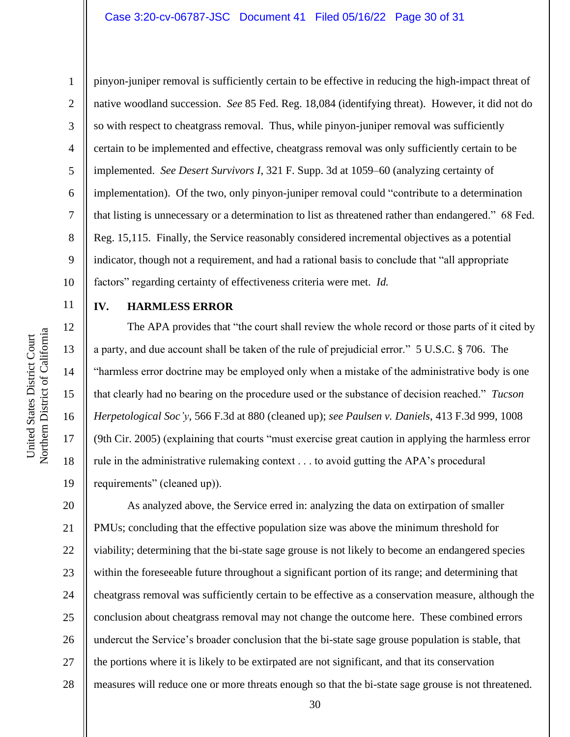1

2

3

5

8

9

11

12

13

14

15

16

17

18

19

# 4 6 7 10 pinyon-juniper removal is sufficiently certain to be effective in reducing the high-impact threat of native woodland succession. *See* 85 Fed. Reg. 18,084 (identifying threat). However, it did not do so with respect to cheatgrass removal. Thus, while pinyon-juniper removal was sufficiently certain to be implemented and effective, cheatgrass removal was only sufficiently certain to be implemented. *See Desert Survivors I*, 321 F. Supp. 3d at 1059–60 (analyzing certainty of implementation). Of the two, only pinyon-juniper removal could "contribute to a determination that listing is unnecessary or a determination to list as threatened rather than endangered." 68 Fed. Reg. 15,115. Finally, the Service reasonably considered incremental objectives as a potential indicator, though not a requirement, and had a rational basis to conclude that "all appropriate factors" regarding certainty of effectiveness criteria were met. *Id.*

# **IV. HARMLESS ERROR**

The APA provides that "the court shall review the whole record or those parts of it cited by a party, and due account shall be taken of the rule of prejudicial error." 5 U.S.C. § 706. The "harmless error doctrine may be employed only when a mistake of the administrative body is one that clearly had no bearing on the procedure used or the substance of decision reached." *Tucson Herpetological Soc'y*, 566 F.3d at 880 (cleaned up); *see Paulsen v. Daniels*, 413 F.3d 999, 1008 (9th Cir. 2005) (explaining that courts "must exercise great caution in applying the harmless error rule in the administrative rulemaking context . . . to avoid gutting the APA's procedural requirements" (cleaned up)).

20 21 22 23 24 25 26 27 28 As analyzed above, the Service erred in: analyzing the data on extirpation of smaller PMUs; concluding that the effective population size was above the minimum threshold for viability; determining that the bi-state sage grouse is not likely to become an endangered species within the foreseeable future throughout a significant portion of its range; and determining that cheatgrass removal was sufficiently certain to be effective as a conservation measure, although the conclusion about cheatgrass removal may not change the outcome here. These combined errors undercut the Service's broader conclusion that the bi-state sage grouse population is stable, that the portions where it is likely to be extirpated are not significant, and that its conservation measures will reduce one or more threats enough so that the bi-state sage grouse is not threatened.